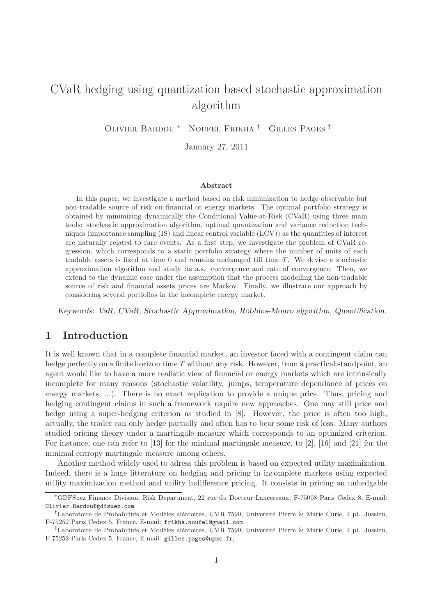# CVaR hedging using quantization based stochastic approximation algorithm

Olivier Bardou <sup>∗</sup> Noufel Frikha † Gilles Pages ‡

January 27, 2011

#### Abstract

In this paper, we investigate a method based on risk minimization to hedge observable but non-tradable source of risk on financial or energy markets. The optimal portfolio strategy is obtained by minimizing dynamically the Conditional Value-at-Risk (CVaR) using three main tools: stochastic approximation algorithm, optimal quantization and variance reduction techniques (importance sampling (IS) and linear control variable (LCV)) as the quantities of interest are naturally related to rare events. As a first step, we investigate the problem of CVaR regression, which corresponds to a static portfolio strategy where the number of units of each tradable assets is fixed at time  $0$  and remains unchanged till time  $T$ . We devise a stochastic approximation algorithm and study its a.s. convergence and rate of convergence. Then, we extend to the dynamic case under the assumption that the process modelling the non-tradable source of risk and financial assets prices are Markov. Finally, we illustrate our approach by considering several portfolios in the incomplete energy market.

Keywords: VaR, CVaR, Stochastic Approximation, Robbins-Monro algorithm, Quantification.

### 1 Introduction

It is well known that in a complete financial market, an investor faced with a contingent claim can hedge perfectly on a finite horizon time  $T$  without any risk. However, from a practical standpoint, an agent would like to have a more realistic view of financial or energy markets which are intrinsically incomplete for many reasons (stochastic volatility, jumps, temperature dependance of prices on energy markets, ...). There is no exact replication to provide a unique price. Thus, pricing and hedging contingent claims in such a framework require new approaches. One may still price and hedge using a super-hedging criterion as studied in [8]. However, the price is often too high, actually, the trader can only hedge partially and often has to bear some risk of loss. Many authors studied pricing theory under a martingale measure which corresponds to an optimized criterion. For instance, one can refer to [13] for the minimal martingale measure, to [2], [16] and [21] for the minimal entropy martingale measure among others.

Another method widely used to adress this problem is based on expected utility maximization. Indeed, there is a huge litterature on hedging and pricing in incomplete markets using expected utility maximization method and utility indifference pricing. It consists in pricing an unhedgable

<sup>∗</sup>GDFSuez Finance Division, Risk Department, 22 rue du Docteur Lancereaux, F-75008 Paris Cedex 8, E-mail: Olivier.Bardou@gdfsuez.com

<sup>&</sup>lt;sup>†</sup>Laboratoire de Probabilités et Modèles aléatoires, UMR 7599, Université Pierre & Marie Curie, 4 pl. Jussieu, F-75252 Paris Cedex 5, France, E-mail: frikha.noufel@gmail.com

<sup>&</sup>lt;sup>‡</sup>Laboratoire de Probabilités et Modèles aléatoires, UMR 7599, Université Pierre & Marie Curie, 4 pl. Jussieu, F-75252 Paris Cedex 5, France, E-mail: gilles.pages@upmc.fr,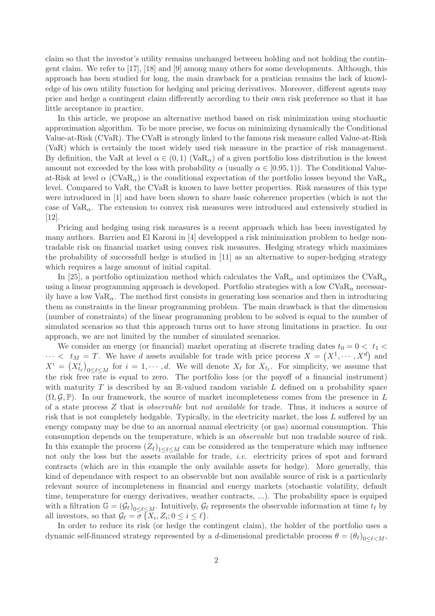claim so that the investor's utility remains unchanged between holding and not holding the contingent claim. We refer to [17], [18] and [9] among many others for some developments. Although, this approach has been studied for long, the main drawback for a pratician remains the lack of knowledge of his own utility function for hedging and pricing derivatives. Moreover, different agents may price and hedge a contingent claim differently according to their own risk preference so that it has little acceptance in practice.

In this article, we propose an alternative method based on risk minimization using stochastic approximation algorithm. To be more precise, we focus on minimizing dynamically the Conditional Value-at-Risk (CVaR). The CVaR is strongly linked to the famous risk measure called Value-at-Risk (VaR) which is certainly the most widely used risk measure in the practice of risk management. By definition, the VaR at level  $\alpha \in (0,1)$  (VaR<sub> $\alpha$ </sub>) of a given portfolio loss distribution is the lowest amount not exceeded by the loss with probability  $\alpha$  (usually  $\alpha \in [0.95, 1)$ ). The Conditional Valueat-Risk at level  $\alpha$  (CVaR<sub> $\alpha$ </sub>) is the conditional expectation of the portfolio losses beyond the VaR<sub> $\alpha$ </sub> level. Compared to VaR, the CVaR is known to have better properties. Risk measures of this type were introduced in [1] and have been shown to share basic coherence properties (which is not the case of  $VaR_{\alpha}$ . The extension to convex risk measures were introduced and extensively studied in [12].

Pricing and hedging using risk measures is a recent approach which has been investigated by many authors. Barrieu and El Karoui in [4] developped a risk minimization problem to hedge nontradable risk on financial market using convex risk measures. Hedging strategy which maximizes the probability of successfull hedge is studied in [11] as an alternative to super-hedging strategy which requires a large amount of initial capital.

In [25], a portfolio optimization method which calculates the  $VaR_{\alpha}$  and optimizes the  $CVaR_{\alpha}$ using a linear programming approach is developed. Portfolio strategies with a low  $CVaR_{\alpha}$  necessarily have a low  $VaR_{\alpha}$ . The method first consists in generating loss scenarios and then in introducing them as constraints in the linear programming problem. The main drawback is that the dimension (number of constraints) of the linear programming problem to be solved is equal to the number of simulated scenarios so that this approach turns out to have strong limitations in practice. In our approach, we are not limited by the number of simulated scenarios.

We consider an energy (or financial) market operating at discrete trading dates  $t_0 = 0 < t_1 <$  $\cdots < t_M = T$ . We have d assets available for trade with price process  $X = (X^1, \dots, X^d)$  and  $X^i = \left(X^i_{t_\ell}\right)$  $0\leq \ell \leq M$  for  $i=1,\cdots,d$ . We will denote  $X_{\ell}$  for  $X_{t_{\ell}}$ . For simplicity, we assume that the risk free rate is equal to zero. The portfolio loss (or the payoff of a financial instrument) with maturity  $T$  is described by an R-valued random variable  $L$  defined on a probability space  $(\Omega, \mathcal{G}, \mathbb{P})$ . In our framework, the source of market incompleteness comes from the presence in L of a state process Z that is observable but not available for trade. Thus, it induces a source of risk that is not completely hedgable. Typically, in the electricity market, the loss L suffered by an energy company may be due to an anormal annual electricity (or gas) anormal consumption. This consumption depends on the temperature, which is an observable but non tradable source of risk. In this example the process  $(Z_{\ell})_{1 \leq \ell \leq M}$  can be considered as the temperature which may influence not only the loss but the assets available for trade, i.e. electricity prices of spot and forward contracts (which are in this example the only available assets for hedge). More generally, this kind of dependance with respect to an observable but non available source of risk is a particularly relevant source of incompleteness in financial and energy markets (stochastic volatility, default time, temperature for energy derivatives, weather contracts, ...). The probability space is equiped with a filtration  $\mathbb{G} = (\mathcal{G}_{\ell})_{0 \leq \ell \leq M}$ . Intuitively,  $\mathcal{G}_{\ell}$  represents the observable information at time  $t_{\ell}$  by all investors, so that  $\mathcal{G}_{\ell} = \sigma \{X_i, Z_i; 0 \leq i \leq \ell\}.$ 

In order to reduce its risk (or hedge the contingent claim), the holder of the portfolio uses a dynamic self-financed strategy represented by a *d*-dimensional predictable process  $\theta = (\theta_\ell)_{0 \leq \ell \leq M}$ ,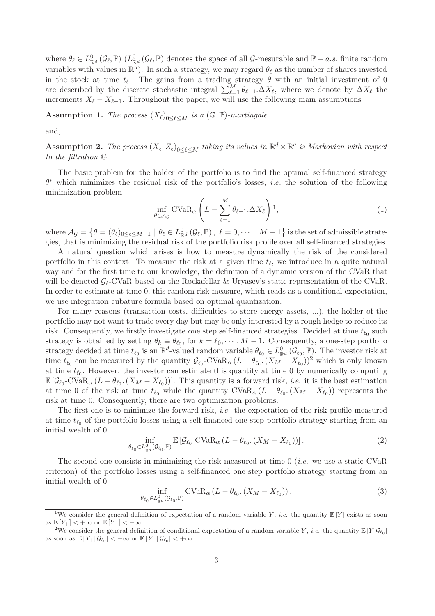where  $\theta_{\ell} \in L^0_{\mathbb{R}^d}(\mathcal{G}_{\ell}, \mathbb{P})$  ( $L^0_{\mathbb{R}^d}(\mathcal{G}_{\ell}, \mathbb{P})$  denotes the space of all  $\mathcal{G}$ -mesurable and  $\mathbb{P}-a.s$ . finite random variables with values in  $\mathbb{R}^d$ ). In such a strategy, we may regard  $\theta_\ell$  as the number of shares invested in the stock at time  $t_{\ell}$ . The gains from a trading strategy  $\theta$  with an initial investment of 0 are described by the discrete stochastic integral  $\sum_{\ell=1}^{M} \theta_{\ell-1} \cdot \Delta X_{\ell}$ , where we denote by  $\Delta X_{\ell}$  the increments  $X_{\ell} - X_{\ell-1}$ . Throughout the paper, we will use the following main assumptions

**Assumption 1.** The process  $(X_{\ell})_{0 \leq \ell \leq M}$  is a  $(\mathbb{G}, \mathbb{P})$ -martingale.

and,

**Assumption 2.** The process  $(X_{\ell}, Z_{\ell})_{0 \leq \ell \leq M}$  taking its values in  $\mathbb{R}^{d} \times \mathbb{R}^{q}$  is Markovian with respect to the filtration G.

The basic problem for the holder of the portfolio is to find the optimal self-financed strategy  $\theta^*$  which minimizes the residual risk of the portfolio's losses, *i.e.* the solution of the following minimization problem

$$
\inf_{\theta \in \mathcal{A}_{\mathcal{G}}} \text{CVaR}_{\alpha} \left( L - \sum_{\ell=1}^{M} \theta_{\ell-1} \Delta X_{\ell} \right) 1, \tag{1}
$$

where  $\mathcal{A}_{\mathcal{G}} = \left\{\theta = (\theta_{\ell})_{0 \leq \ell \leq M-1} \mid \theta_{\ell} \in L^0_{\mathbb{R}^d}(\mathcal{G}_{\ell}, \mathbb{P}), \ \ell = 0, \cdots, M-1 \right\}$  is the set of admissible strategies, that is minimizing the residual risk of the portfolio risk profile over all self-financed strategies.

A natural question which arises is how to measure dynamically the risk of the considered portfolio in this context. To measure the risk at a given time  $t_{\ell}$ , we introduce in a quite natural way and for the first time to our knowledge, the definition of a dynamic version of the CVaR that will be denoted  $\mathcal{G}_{\ell}$ -CVaR based on the Rockafellar & Uryasev's static representation of the CVaR. In order to estimate at time 0, this random risk measure, which reads as a conditional expectation, we use integration cubature formula based on optimal quantization.

For many reasons (transaction costs, difficulties to store energy assets, ...), the holder of the portfolio may not want to trade every day but may be only interested by a rough hedge to reduce its risk. Consequently, we firstly investigate one step self-financed strategies. Decided at time  $t_{\ell_0}$  such strategy is obtained by setting  $\theta_k \equiv \theta_{\ell_0}$ , for  $k = \ell_0, \dots, M-1$ . Consequently, a one-step portfolio strategy decided at time  $t_{\ell_0}$  is an  $\mathbb{R}^d$ -valued random variable  $\theta_{\ell_0} \in L^0_{\mathbb{R}^d}(\mathcal{G}_{\ell_0}, \mathbb{P})$ . The investor risk at time  $t_{\ell_0}$  can be measured by the quantity  $\mathcal{G}_{\ell_0}$ -CVaR<sub> $\alpha$ </sub>  $(L - \theta_{\ell_0}$ .  $(X_M - X_{\ell_0}))^2$  which is only known at time  $t_{\ell_0}$ . However, the investor can estimate this quantity at time 0 by numerically computing  $\mathbb{E}[\mathcal{G}_{\ell_0}\text{-CVaR}_{\alpha}(L-\theta_{\ell_0}\text{.}(X_M-X_{\ell_0}))].$  This quantity is a forward risk, *i.e.* it is the best estimation at time 0 of the risk at time  $t_{\ell_0}$  while the quantity  $CVaR_{\alpha}(L-\theta_{\ell_0}.(X_M-X_{\ell_0}))$  represents the risk at time 0. Consequently, there are two optimization problems.

The first one is to minimize the forward risk, *i.e.* the expectation of the risk profile measured at time  $t_{\ell_0}$  of the portfolio losses using a self-financed one step portfolio strategy starting from an initial wealth of 0

$$
\inf_{\theta_{\ell_0} \in L^0_{\mathbb{R}^d}(\mathcal{G}_{\ell_0}, \mathbb{P})} \mathbb{E}\left[\mathcal{G}_{\ell_0} \text{-CVaR}_{\alpha} \left( L - \theta_{\ell_0} \cdot (X_M - X_{\ell_0}) \right) \right]. \tag{2}
$$

The second one consists in minimizing the risk measured at time  $0$  *(i.e.* we use a static CVaR criterion) of the portfolio losses using a self-financed one step portfolio strategy starting from an initial wealth of 0

$$
\inf_{\theta_{\ell_0} \in L^0_{\mathbb{R}^d}(\mathcal{G}_{\ell_0}, \mathbb{P})} \text{CVaR}_{\alpha} \left( L - \theta_{\ell_0} \cdot (X_M - X_{\ell_0}) \right). \tag{3}
$$

<sup>&</sup>lt;sup>1</sup>We consider the general definition of expectation of a random variable Y, *i.e.* the quantity  $\mathbb{E}[Y]$  exists as soon as  $\mathbb{E}[Y_+] < +\infty$  or  $\mathbb{E}[Y_-] < +\infty$ .

<sup>&</sup>lt;sup>2</sup>We consider the general definition of conditional expectation of a random variable Y, *i.e.* the quantity  $\mathbb{E}[Y|\mathcal{G}_{\ell_0}]$ as soon as  $\mathbb{E}[Y_+|\mathcal{G}_{\ell_0}] < +\infty$  or  $\mathbb{E}[Y_-|\mathcal{G}_{\ell_0}] < +\infty$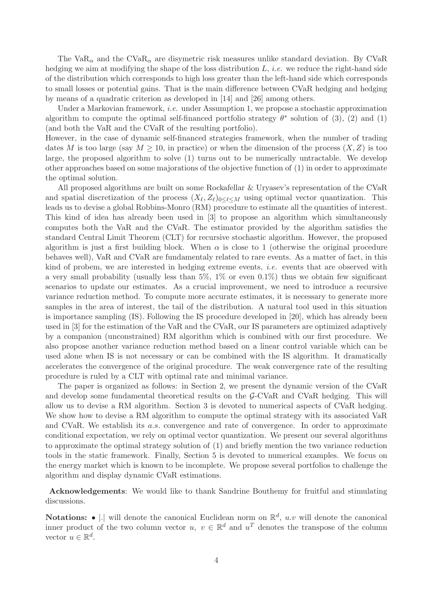The VaR<sub> $\alpha$ </sub> and the CVaR<sub> $\alpha$ </sub> are disymetric risk measures unlike standard deviation. By CVaR hedging we aim at modifying the shape of the loss distribution  $L$ , *i.e.* we reduce the right-hand side of the distribution which corresponds to high loss greater than the left-hand side which corresponds to small losses or potential gains. That is the main difference between CVaR hedging and hedging by means of a quadratic criterion as developed in [14] and [26] among others.

Under a Markovian framework, *i.e.* under Assumption 1, we propose a stochastic approximation algorithm to compute the optimal self-financed portfolio strategy  $\theta^*$  solution of (3), (2) and (1) (and both the VaR and the CVaR of the resulting portfolio).

However, in the case of dynamic self-financed strategies framework, when the number of trading dates M is too large (say  $M \geq 10$ , in practice) or when the dimension of the process  $(X, Z)$  is too large, the proposed algorithm to solve (1) turns out to be numerically untractable. We develop other approaches based on some majorations of the objective function of (1) in order to approximate the optimal solution.

All proposed algorithms are built on some Rockafellar & Uryasev's representation of the CVaR and spatial discretization of the process  $(X_{\ell}, Z_{\ell})_{0 \leq \ell \leq M}$  using optimal vector quantization. This leads us to devise a global Robbins-Monro (RM) procedure to estimate all the quantities of interest. This kind of idea has already been used in [3] to propose an algorithm which simultaneously computes both the VaR and the CVaR. The estimator provided by the algorithm satisfies the standard Central Limit Theorem (CLT) for recursive stochastic algorithm. However, the proposed algorithm is just a first building block. When  $\alpha$  is close to 1 (otherwise the original procedure behaves well), VaR and CVaR are fundamentaly related to rare events. As a matter of fact, in this kind of probem, we are interested in hedging extreme events, i.e. events that are observed with a very small probability (usually less than  $5\%$ ,  $1\%$  or even  $0.1\%$ ) thus we obtain few significant scenarios to update our estimates. As a crucial improvement, we need to introduce a recursive variance reduction method. To compute more accurate estimates, it is necessary to generate more samples in the area of interest, the tail of the distribution. A natural tool used in this situation is importance sampling (IS). Following the IS procedure developed in [20], which has already been used in [3] for the estimation of the VaR and the CVaR, our IS parameters are optimized adaptively by a companion (unconstrained) RM algorithm which is combined with our first procedure. We also propose another variance reduction method based on a linear control variable which can be used alone when IS is not necessary or can be combined with the IS algorithm. It dramatically accelerates the convergence of the original procedure. The weak convergence rate of the resulting procedure is ruled by a CLT with optimal rate and minimal variance.

The paper is organized as follows: in Section 2, we present the dynamic version of the CVaR and develop some fundamental theoretical results on the G-CVaR and CVaR hedging. This will allow us to devise a RM algorithm. Section 3 is devoted to numerical aspects of CVaR hedging. We show how to devise a RM algorithm to compute the optimal strategy with its associated VaR and CVaR. We establish its a.s. convergence and rate of convergence. In order to approximate conditional expectation, we rely on optimal vector quantization. We present our several algorithms to approximate the optimal strategy solution of (1) and briefly mention the two variance reduction tools in the static framework. Finally, Section 5 is devoted to numerical examples. We focus on the energy market which is known to be incomplete. We propose several portfolios to challenge the algorithm and display dynamic CVaR estimations.

Acknowledgements: We would like to thank Sandrine Bouthemy for fruitful and stimulating discussions.

**Notations:**  $\bullet$  |. | will denote the canonical Euclidean norm on  $\mathbb{R}^d$ , u.v will denote the canonical inner product of the two column vector  $u, v \in \mathbb{R}^d$  and  $u^T$  denotes the transpose of the column vector  $u \in \mathbb{R}^d$ .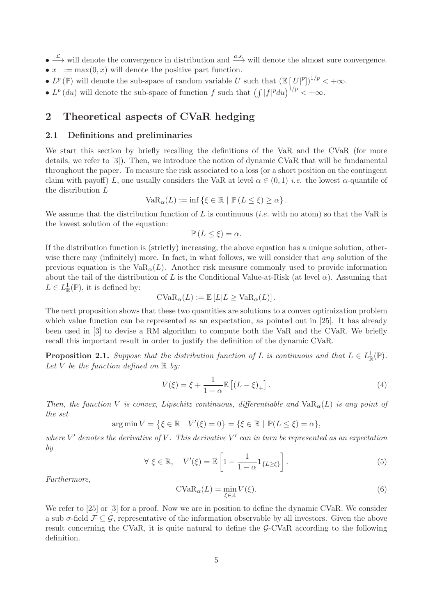- $\bullet \xrightarrow{\mathcal{L}}$  will denote the convergence in distribution and  $\xrightarrow{a.s.}$  will denote the almost sure convergence.
- $x_{+} := \max(0, x)$  will denote the positive part function.
- $L^p(\mathbb{P})$  will denote the sub-space of random variable U such that  $(\mathbb{E}[|U|^p])^{1/p} < +\infty$ .
- $L^p(du)$  will denote the sub-space of function f such that  $\left(\int |f|^p du\right)^{1/p} < +\infty$ .

# 2 Theoretical aspects of CVaR hedging

#### 2.1 Definitions and preliminaries

We start this section by briefly recalling the definitions of the VaR and the CVaR (for more details, we refer to [3]). Then, we introduce the notion of dynamic CVaR that will be fundamental throughout the paper. To measure the risk associated to a loss (or a short position on the contingent claim with payoff) L, one usually considers the VaR at level  $\alpha \in (0,1)$  *i.e.* the lowest  $\alpha$ -quantile of the distribution L

$$
\text{VaR}_{\alpha}(L) := \inf \left\{ \xi \in \mathbb{R} \mid \mathbb{P} \left( L \leq \xi \right) \geq \alpha \right\}.
$$

We assume that the distribution function of L is continuous (*i.e.* with no atom) so that the VaR is the lowest solution of the equation:

$$
\mathbb{P}\left(L\leq\xi\right)=\alpha.
$$

If the distribution function is (strictly) increasing, the above equation has a unique solution, otherwise there may (infinitely) more. In fact, in what follows, we will consider that *any* solution of the previous equation is the  $VaR<sub>\alpha</sub>(L)$ . Another risk measure commonly used to provide information about the tail of the distribution of L is the Conditional Value-at-Risk (at level  $\alpha$ ). Assuming that  $L \in L^1_{\mathbb{R}}(\mathbb{P})$ , it is defined by:

$$
\text{CVaR}_{\alpha}(L) := \mathbb{E}\left[L|L \ge \text{VaR}_{\alpha}(L)\right].
$$

The next proposition shows that these two quantities are solutions to a convex optimization problem which value function can be represented as an expectation, as pointed out in [25]. It has already been used in [3] to devise a RM algorithm to compute both the VaR and the CVaR. We briefly recall this important result in order to justify the definition of the dynamic CVaR.

**Proposition 2.1.** Suppose that the distribution function of L is continuous and that  $L \in L^1_{\mathbb{R}}(\mathbb{P})$ . Let V be the function defined on  $\mathbb R$  by:

$$
V(\xi) = \xi + \frac{1}{1 - \alpha} \mathbb{E} \left[ (L - \xi)_{+} \right]. \tag{4}
$$

Then, the function V is convex, Lipschitz continuous, differentiable and  $VaR<sub>0</sub>(L)$  is any point of the set

$$
\arg \min V = \{ \xi \in \mathbb{R} \mid V'(\xi) = 0 \} = \{ \xi \in \mathbb{R} \mid \mathbb{P}(L \le \xi) = \alpha \},
$$

where  $V'$  denotes the derivative of V. This derivative  $V'$  can in turn be represented as an expectation by

$$
\forall \xi \in \mathbb{R}, \quad V'(\xi) = \mathbb{E}\left[1 - \frac{1}{1 - \alpha} \mathbf{1}_{\{L \ge \xi\}}\right]. \tag{5}
$$

Furthermore,

$$
\text{CVaR}_{\alpha}(L) = \min_{\xi \in \mathbb{R}} V(\xi). \tag{6}
$$

We refer to [25] or [3] for a proof. Now we are in position to define the dynamic CVaR. We consider a sub  $\sigma$ -field  $\mathcal{F} \subseteq \mathcal{G}$ , representative of the information observable by all investors. Given the above result concerning the CVaR, it is quite natural to define the G-CVaR according to the following definition.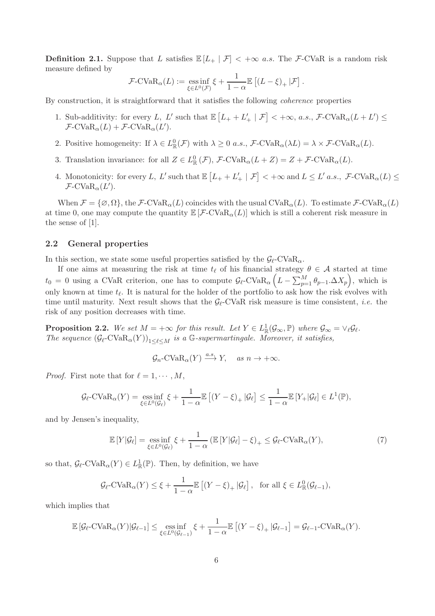**Definition 2.1.** Suppose that L satisfies  $\mathbb{E}[L_+ | \mathcal{F}] < +\infty$  a.s. The F-CVaR is a random risk measure defined by

$$
\mathcal{F}\text{-CVaR}_{\alpha}(L) := \underset{\xi \in L^{0}(\mathcal{F})}{\text{ess inf}} \xi + \frac{1}{1-\alpha} \mathbb{E}\left[ (L-\xi)_{+} | \mathcal{F} \right].
$$

By construction, it is straightforward that it satisfies the following coherence properties

- 1. Sub-additivity: for every L, L' such that  $\mathbb{E}\left[L_{+} + L'_{+} \mid \mathcal{F}\right] < +\infty$ , a.s.,  $\mathcal{F}\text{-CVaR}_{\alpha}(L+L') \le$  $\mathcal{F}\text{-}\text{CVaR}_{\alpha}(L) + \mathcal{F}\text{-}\text{CVaR}_{\alpha}(L').$
- 2. Positive homogeneity: If  $\lambda \in L^0_{\mathbb{R}}(\mathcal{F})$  with  $\lambda \geq 0$  a.s.,  $\mathcal{F}\text{-CVaR}_{\alpha}(\lambda L) = \lambda \times \mathcal{F}\text{-CVaR}_{\alpha}(L)$ .
- 3. Translation invariance: for all  $Z \in L^0_{\mathbb{R}}(\mathcal{F}), \mathcal{F}\text{-CVaR}_{\alpha}(L+Z) = Z + \mathcal{F}\text{-CVaR}_{\alpha}(L).$
- 4. Monotonicity: for every L, L' such that  $\mathbb{E}\left[L_{+} + L'_{+} \mid \mathcal{F}\right] < +\infty$  and  $L \leq L'$  a.s.,  $\mathcal{F}\text{-CVaR}_{\alpha}(L) \leq$  $\mathcal{F}\text{-}\mathrm{CVaR}_{\alpha}(L').$

When  $\mathcal{F} = {\emptyset, \Omega}$ , the  $\mathcal{F}\text{-CVaR}_{\alpha}(L)$  coincides with the usual  $CVaR_{\alpha}(L)$ . To estimate  $\mathcal{F}\text{-CVaR}_{\alpha}(L)$ at time 0, one may compute the quantity  $\mathbb{E}[\mathcal{F}-CVaR_{\alpha}(L)]$  which is still a coherent risk measure in the sense of [1].

#### 2.2 General properties

In this section, we state some useful properties satisfied by the  $\mathcal{G}_{\ell}$ -CVaR<sub> $\alpha$ </sub>.

If one aims at measuring the risk at time  $t_{\ell}$  of his financial strategy  $\theta \in A$  started at time  $t_0 = 0$  using a CVaR criterion, one has to compute  $\mathcal{G}_{\ell}$ -CVaR<sub> $\alpha$ </sub>  $(L - \sum_{p=1}^{M} \theta_{p-1} \Delta X_p)$ , which is only known at time  $t_{\ell}$ . It is natural for the holder of the portfolio to ask how the risk evolves with time until maturity. Next result shows that the  $\mathcal{G}_{\ell}$ -CVaR risk measure is time consistent, *i.e.* the risk of any position decreases with time.

**Proposition 2.2.** We set  $M = +\infty$  for this result. Let  $Y \in L^1_{\mathbb{R}}(\mathcal{G}_{\infty}, \mathbb{P})$  where  $\mathcal{G}_{\infty} = \vee_{\ell} \mathcal{G}_{\ell}$ . The sequence  $(\mathcal{G}_{\ell}$ -CVa $R_{\alpha}(Y)_{1\leq \ell \leq M}$  is a G-supermartingale. Moreover, it satisfies,

$$
\mathcal{G}_n\text{-CVaR}_{\alpha}(Y) \xrightarrow{a.s} Y, \quad \text{as } n \to +\infty.
$$

*Proof.* First note that for  $\ell = 1, \dots, M$ ,

$$
\mathcal{G}_{\ell}\text{-CVaR}_{\alpha}(Y) = \underset{\xi \in L^{0}(\mathcal{G}_{\ell})}{\text{ess inf }} \xi + \frac{1}{1-\alpha} \mathbb{E}\left[ (Y-\xi)_{+} | \mathcal{G}_{\ell} \right] \leq \frac{1}{1-\alpha} \mathbb{E}\left[ Y_{+} | \mathcal{G}_{\ell} \right] \in L^{1}(\mathbb{P}),
$$

and by Jensen's inequality,

$$
\mathbb{E}\left[Y|\mathcal{G}_{\ell}\right] = \underset{\xi \in L^{0}(\mathcal{G}_{\ell})}{\text{ess inf}}\xi + \frac{1}{1-\alpha}\left(\mathbb{E}\left[Y|\mathcal{G}_{\ell}\right] - \xi\right)_{+} \leq \mathcal{G}_{\ell} - \text{CVaR}_{\alpha}(Y),\tag{7}
$$

so that,  $\mathcal{G}_{\ell}$ -CVa $R_{\alpha}(Y) \in L^1_{\mathbb{R}}(\mathbb{P})$ . Then, by definition, we have

$$
\mathcal{G}_{\ell}\text{-CVaR}_{\alpha}(Y) \leq \xi + \frac{1}{1-\alpha} \mathbb{E}\left[ (Y-\xi)_{+} | \mathcal{G}_{\ell} \right], \text{ for all } \xi \in L_{\mathbb{R}}^{0}(\mathcal{G}_{\ell-1}),
$$

which implies that

$$
\mathbb{E}\left[\mathcal{G}_{\ell}\text{-CVaR}_{\alpha}(Y)|\mathcal{G}_{\ell-1}\right] \leq \underset{\xi \in L^{0}(\mathcal{G}_{\ell-1})}{\text{ess}\inf} \xi + \frac{1}{1-\alpha} \mathbb{E}\left[\left(Y-\xi\right)_{+}|\mathcal{G}_{\ell-1}\right] = \mathcal{G}_{\ell-1}\text{-CVaR}_{\alpha}(Y).
$$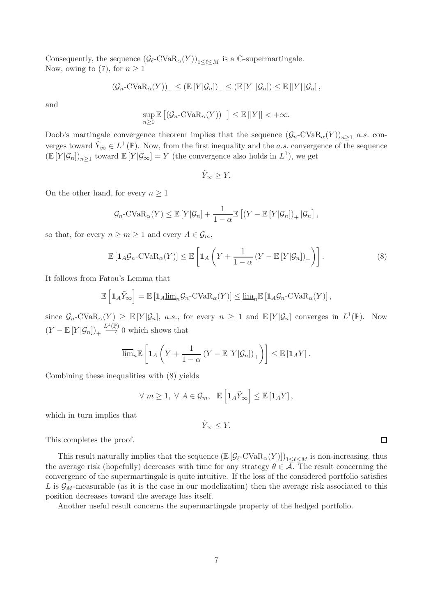Consequently, the sequence  $(\mathcal{G}_{\ell}$ -CVa $R_{\alpha}(Y)$ <sub>1</br/> $\ell$ /s is a G-supermartingale.</sub> Now, owing to (7), for  $n \geq 1$ 

$$
(\mathcal{G}_n\text{-CVaR}_{\alpha}(Y))_{-} \leq (\mathbb{E}[Y|\mathcal{G}_n])_{-} \leq (\mathbb{E}[Y_{-}|\mathcal{G}_n]) \leq \mathbb{E}[|Y| |\mathcal{G}_n],
$$

and

$$
\sup_{n\geq 0} \mathbb{E}\left[ (\mathcal{G}_n\text{-CVaR}_{\alpha}(Y))_{-} \right] \leq \mathbb{E}\left[ |Y| \right] < +\infty.
$$

Doob's martingale convergence theorem implies that the sequence  $(\mathcal{G}_n$ -CVa $R_\alpha(Y)_{n\geq 1}$  a.s. converges toward  $\tilde{Y}_{\infty} \in L^{1}(\mathbb{P})$ . Now, from the first inequality and the *a.s.* convergence of the sequence  $(\mathbb{E}[Y|\mathcal{G}_n])_{n\geq 1}$  toward  $\mathbb{E}[Y|\mathcal{G}_\infty] = Y$  (the convergence also holds in  $L^1$ ), we get

$$
\tilde{Y}_{\infty} \geq Y.
$$

On the other hand, for every  $n \geq 1$ 

$$
\mathcal{G}_n\text{-CVaR}_{\alpha}(Y) \leq \mathbb{E}\left[Y|\mathcal{G}_n\right] + \frac{1}{1-\alpha}\mathbb{E}\left[(Y-\mathbb{E}\left[Y|\mathcal{G}_n\right])_+|\mathcal{G}_n\right],
$$

so that, for every  $n \geq m \geq 1$  and every  $A \in \mathcal{G}_m$ ,

$$
\mathbb{E}\left[\mathbf{1}_A\mathcal{G}_n\text{-CVaR}_{\alpha}(Y)\right] \leq \mathbb{E}\left[\mathbf{1}_A\left(Y + \frac{1}{1-\alpha}\left(Y - \mathbb{E}\left[Y|\mathcal{G}_n\right]\right)_+\right)\right].\tag{8}
$$

It follows from Fatou's Lemma that

$$
\mathbb{E}\left[\mathbf{1}_A \tilde{Y}_{\infty}\right] = \mathbb{E}\left[\mathbf{1}_A \underline{\lim}_n \mathcal{G}_n\text{-CVaR}_{\alpha}(Y)\right] \le \underline{\lim}_n \mathbb{E}\left[\mathbf{1}_A \mathcal{G}_n\text{-CVaR}_{\alpha}(Y)\right],
$$

since  $\mathcal{G}_n$ -CVa $R_\alpha(Y) \geq \mathbb{E}[Y|\mathcal{G}_n]$ , *a.s.*, for every  $n \geq 1$  and  $\mathbb{E}[Y|\mathcal{G}_n]$  converges in  $L^1(\mathbb{P})$ . Now  $(Y - \mathbb{E}[Y|\mathcal{G}_n])_+ \stackrel{L^1(\mathbb{P})}{\longrightarrow} 0$  which shows that

$$
\overline{\lim}_{n} \mathbb{E}\left[\mathbf{1}_{A}\left(Y+\frac{1}{1-\alpha}\left(Y-\mathbb{E}\left[Y|\mathcal{G}_{n}\right]\right)_{+}\right)\right] \leq \mathbb{E}\left[\mathbf{1}_{A}Y\right].
$$

Combining these inequalities with (8) yields

$$
\forall m \geq 1, \ \forall A \in \mathcal{G}_m, \ \mathbb{E}\left[\mathbf{1}_A \tilde{Y}_{\infty}\right] \leq \mathbb{E}\left[\mathbf{1}_A Y\right],
$$

which in turn implies that

 $\tilde{Y}_{\infty} < Y$ .

This completes the proof.

This result naturally implies that the sequence  $(\mathbb{E}[\mathcal{G}_{\ell}-CVaR_{\alpha}(Y)])_{1\leq \ell \leq M}$  is non-increasing, thus the average risk (hopefully) decreases with time for any strategy  $\theta \in \overline{A}$ . The result concerning the convergence of the supermartingale is quite intuitive. If the loss of the considered portfolio satisfies L is  $\mathcal{G}_M$ -measurable (as it is the case in our modelization) then the average risk associated to this position decreases toward the average loss itself.

Another useful result concerns the supermartingale property of the hedged portfolio.

 $\Box$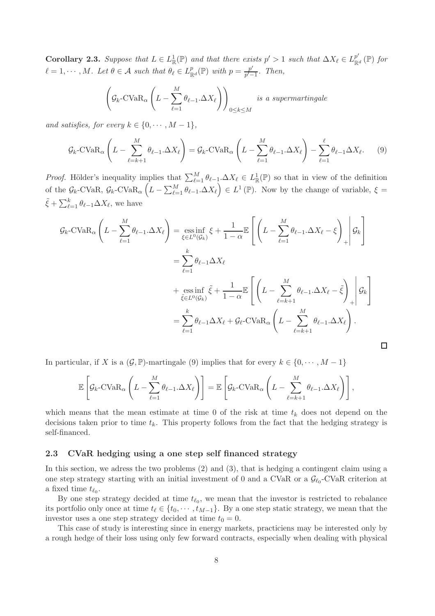Corollary 2.3. Suppose that  $L \in L^1_{\mathbb{R}}(\mathbb{P})$  and that there exists  $p' > 1$  such that  $\Delta X_{\ell} \in L^{p'}_{\mathbb{R}}$  $_{\mathbb{R}^d}^p(\mathbb{P})$  for  $\ell = 1, \cdots, M$ . Let  $\theta \in \mathcal{A}$  such that  $\theta_{\ell} \in L^p_{\mathbb{R}}$  $_{\mathbb{R}^d}^p(\mathbb{P})$  with  $p=\frac{p'}{p'-p}$  $\frac{p}{p'-1}$ . Then,

$$
\left(\mathcal{G}_k\text{-CVaR}_{\alpha}\left(L-\sum_{\ell=1}^M\theta_{\ell-1}\text{-}\Delta X_{\ell}\right)\right)_{0\leq k\leq M} \text{ is a supermartingale}
$$

and satisfies, for every  $k \in \{0, \cdots, M-1\},\$ 

$$
\mathcal{G}_k - \text{CVaR}_{\alpha} \left( L - \sum_{\ell=k+1}^M \theta_{\ell-1} \Delta X_{\ell} \right) = \mathcal{G}_k - \text{CVaR}_{\alpha} \left( L - \sum_{\ell=1}^M \theta_{\ell-1} \Delta X_{\ell} \right) - \sum_{\ell=1}^\ell \theta_{\ell-1} \Delta X_{\ell}.
$$
 (9)

*Proof.* Hölder's inequality implies that  $\sum_{\ell=1}^{M} \theta_{\ell-1} \Delta X_{\ell} \in L^1_{\mathbb{R}}(\mathbb{P})$  so that in view of the definition of the  $\mathcal{G}_k$ -CVaR,  $\mathcal{G}_k$ -CVaR<sub> $\alpha$ </sub>  $(L - \sum_{\ell=1}^M \theta_{\ell-1}.\Delta X_{\ell}) \in L^1(\mathbb{P})$ . Now by the change of variable,  $\xi =$  $\tilde{\xi} + \sum_{\ell=1}^k \theta_{\ell-1} \Delta X_{\ell}$ , we have

$$
\mathcal{G}_k - \text{CVaR}_{\alpha} \left( L - \sum_{\ell=1}^M \theta_{\ell-1} \cdot \Delta X_{\ell} \right) = \underset{\xi \in L^0(\mathcal{G}_k)}{\text{ess inf }} \xi + \frac{1}{1 - \alpha} \mathbb{E} \left[ \left( L - \sum_{\ell=1}^M \theta_{\ell-1} \cdot \Delta X_{\ell} - \xi \right)_+ \middle| \mathcal{G}_k \right]
$$
  
\n
$$
= \sum_{\ell=1}^k \theta_{\ell-1} \Delta X_{\ell}
$$
  
\n
$$
+ \underset{\xi \in L^0(\mathcal{G}_k)}{\text{ess inf }} \tilde{\xi} + \frac{1}{1 - \alpha} \mathbb{E} \left[ \left( L - \sum_{\ell=k+1}^M \theta_{\ell-1} \cdot \Delta X_{\ell} - \tilde{\xi} \right)_+ \middle| \mathcal{G}_k \right]
$$
  
\n
$$
= \sum_{\ell=1}^k \theta_{\ell-1} \Delta X_{\ell} + \mathcal{G}_{\ell} - \text{CVaR}_{\alpha} \left( L - \sum_{\ell=k+1}^M \theta_{\ell-1} \cdot \Delta X_{\ell} \right).
$$

In particular, if X is a  $(\mathcal{G}, \mathbb{P})$ -martingale (9) implies that for every  $k \in \{0, \dots, M-1\}$ 

$$
\mathbb{E}\left[\mathcal{G}_k\text{-CVaR}_{\alpha}\left(L-\sum_{\ell=1}^M\theta_{\ell-1}\text{-}\Delta X_{\ell}\right)\right]=\mathbb{E}\left[\mathcal{G}_k\text{-CVaR}_{\alpha}\left(L-\sum_{\ell=k+1}^M\theta_{\ell-1}\text{-}\Delta X_{\ell}\right)\right],
$$

which means that the mean estimate at time 0 of the risk at time  $t_k$  does not depend on the decisions taken prior to time  $t_k$ . This property follows from the fact that the hedging strategy is self-financed.

#### 2.3 CVaR hedging using a one step self financed strategy

In this section, we adress the two problems (2) and (3), that is hedging a contingent claim using a one step strategy starting with an initial investment of 0 and a CVaR or a  $\mathcal{G}_{\ell_0}$ -CVaR criterion at a fixed time  $t_{\ell_0}$ .

By one step strategy decided at time  $t_{\ell_0}$ , we mean that the investor is restricted to rebalance its portfolio only once at time  $t_\ell \in \{t_0, \dots, t_{M-1}\}$ . By a one step static strategy, we mean that the investor uses a one step strategy decided at time  $t_0 = 0$ .

This case of study is interesting since in energy markets, practiciens may be interested only by a rough hedge of their loss using only few forward contracts, especially when dealing with physical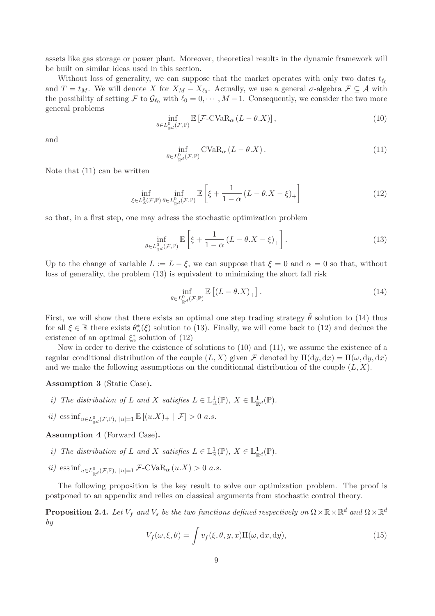assets like gas storage or power plant. Moreover, theoretical results in the dynamic framework will be built on similar ideas used in this section.

Without loss of generality, we can suppose that the market operates with only two dates  $t_{\ell_0}$ and  $T = t_M$ . We will denote X for  $X_M - X_{\ell_0}$ . Actually, we use a general  $\sigma$ -algebra  $\mathcal{F} \subseteq \mathcal{A}$  with the possibility of setting F to  $\mathcal{G}_{\ell_0}$  with  $\ell_0 = 0, \cdots, M-1$ . Consequently, we consider the two more general problems

$$
\inf_{\theta \in L_{\mathbb{R}^d}^0(\mathcal{F}, \mathbb{P})} \mathbb{E}\left[\mathcal{F}\text{-CVaR}_{\alpha}\left(L - \theta \cdot X\right)\right],\tag{10}
$$

and

$$
\inf_{\theta \in L_{\mathbb{R}^d}^0(\mathcal{F}, \mathbb{P})} \text{CVaR}_{\alpha} \left( L - \theta \cdot X \right). \tag{11}
$$

Note that (11) can be written

$$
\inf_{\xi \in L_{\mathbb{R}}^{0}(\mathcal{F}, \mathbb{P})} \inf_{\theta \in L_{\mathbb{R}^{d}}^{0}(\mathcal{F}, \mathbb{P})} \mathbb{E}\left[\xi + \frac{1}{1-\alpha} \left(L - \theta \cdot X - \xi\right)_{+}\right]
$$
\n(12)

so that, in a first step, one may adress the stochastic optimization problem

$$
\inf_{\theta \in L_{\mathbb{R}^d}^0(\mathcal{F}, \mathbb{P})} \mathbb{E}\left[\xi + \frac{1}{1-\alpha} \left(L - \theta \cdot X - \xi\right)_+\right].\tag{13}
$$

Up to the change of variable  $L := L - \xi$ , we can suppose that  $\xi = 0$  and  $\alpha = 0$  so that, without loss of generality, the problem (13) is equivalent to minimizing the short fall risk

$$
\inf_{\theta \in L^0_{\mathbb{R}^d}(\mathcal{F}, \mathbb{P})} \mathbb{E}\left[ (L - \theta \cdot X)_+ \right]. \tag{14}
$$

First, we will show that there exists an optimal one step trading strategy  $\tilde{\theta}$  solution to (14) thus for all  $\xi \in \mathbb{R}$  there exists  $\theta_{\alpha}^*(\xi)$  solution to (13). Finally, we will come back to (12) and deduce the existence of an optimal  $\xi_{\alpha}^*$  solution of (12)

Now in order to derive the existence of solutions to (10) and (11), we assume the existence of a regular conditional distribution of the couple  $(L, X)$  given F denoted by  $\Pi(dy, dx) = \Pi(\omega, dy, dx)$ and we make the following assumptions on the conditionnal distribution of the couple  $(L, X)$ .

Assumption 3 (Static Case).

- *i*) The distribution of L and X satisfies  $L \in \mathbb{L}^1_{\mathbb{R}}(\mathbb{P}), X \in \mathbb{L}^1_{\mathbb{R}^d}(\mathbb{P}).$
- $ii)$  ess inf<sub>u∈L<sup>0</sup><sub>R</sub>d</sub>( $\mathcal{F}, \mathbb{P}$ ), |u|=1  $\mathbb{E} \left[ (u.X)_+ \mid \mathcal{F} \right] > 0$  a.s.

Assumption 4 (Forward Case).

- *i*) The distribution of L and X satisfies  $L \in \mathbb{L}^1_{\mathbb{R}}(\mathbb{P}), X \in \mathbb{L}^1_{\mathbb{R}^d}(\mathbb{P}).$
- $ii)$  ess inf<sub>u∈L<sup>0</sup><sub>ℝd</sub>( $\mathcal{F}, \mathbb{P}$ ), |u|=1</sub>  $\mathcal{F}$ -CVaR<sub>α</sub> ( $u.X$ ) > 0 *a.s.*

The following proposition is the key result to solve our optimization problem. The proof is postponed to an appendix and relies on classical arguments from stochastic control theory.

**Proposition 2.4.** Let  $V_f$  and  $V_s$  be the two functions defined respectively on  $\Omega \times \mathbb{R} \times \mathbb{R}^d$  and  $\Omega \times \mathbb{R}^d$ by

$$
V_f(\omega, \xi, \theta) = \int v_f(\xi, \theta, y, x) \Pi(\omega, dx, dy), \qquad (15)
$$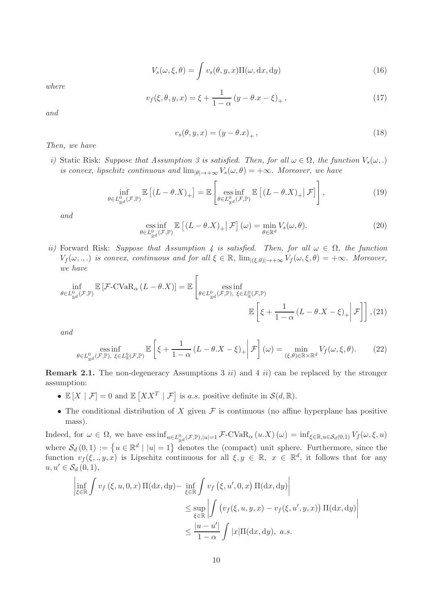$$
V_s(\omega, \xi, \theta) = \int v_s(\theta, y, x) \Pi(\omega, dx, dy)
$$
\n(16)

where

$$
v_f(\xi, \theta, y, x) = \xi + \frac{1}{1 - \alpha} (y - \theta \cdot x - \xi)_+, \qquad (17)
$$

and

$$
v_s(\theta, y, x) = (y - \theta \cdot x)_+, \qquad (18)
$$

Then, we have

i) Static Risk: Suppose that Assumption 3 is satisfied. Then, for all  $\omega \in \Omega$ , the function  $V_s(\omega,.)$ is convex, lipschitz continuous and  $\lim_{|\theta| \to +\infty} V_s(\omega, \theta) = +\infty$ . Moreover, we have

$$
\inf_{\theta \in L_{\mathbb{R}^d}^0(\mathcal{F}, \mathbb{P})} \mathbb{E}\left[ (L - \theta. X)_{+} \right] = \mathbb{E}\left[ \underset{\theta \in L_{\mathbb{R}^d}^0(\mathcal{F}, \mathbb{P})}{\text{ess inf}} \mathbb{E}\left[ (L - \theta. X)_{+} \big| \mathcal{F} \right] \right],\tag{19}
$$

and

ess inf 
$$
\mathbb{E} \left[ (L - \theta \cdot X)_{+} \middle| \mathcal{F} \right] (\omega) = \min_{\theta \in \mathbb{R}^d} V_s(\omega, \theta).
$$
 (20)

ii) Forward Risk: Suppose that Assumption 4 is satisfied. Then, for all  $\omega \in \Omega$ , the function  $V_f(\omega, \ldots)$  is convex, continuous and for all  $\xi \in \mathbb{R}$ ,  $\lim_{|\xi| \in \theta} \sum_{j \neq j} V_f(\omega, \xi, \theta) = +\infty$ . Moreover, we have

$$
\inf_{\theta \in L_{\mathbb{R}^d}^0(\mathcal{F}, \mathbb{P})} \mathbb{E}\left[\mathcal{F}\text{-CVaR}_{\alpha}\left(L-\theta.X\right)\right] = \mathbb{E}\left[\underset{\theta \in L_{\mathbb{R}^d}^0(\mathcal{F}, \mathbb{P}), \ \xi \in L_{\mathbb{R}}^0(\mathcal{F}, \mathbb{P})}{\text{ess inf}} \mathbb{E}\left[\xi + \frac{1}{1-\alpha}\left(L-\theta.X-\xi\right)_+\bigg|\mathcal{F}\right]\right], (21)
$$

and

$$
\underset{\theta \in L_{\mathbb{R}^d}^0(\mathcal{F}, \mathbb{P}), \ \xi \in L_{\mathbb{R}}^0(\mathcal{F}, \mathbb{P})}{\text{ess inf}} \mathbb{E}\left[\xi + \frac{1}{1-\alpha} \left(L - \theta \cdot X - \xi\right)_+ \middle| \mathcal{F}\right](\omega) = \underset{(\xi, \theta) \in \mathbb{R} \times \mathbb{R}^d}{\text{min}} V_f(\omega, \xi, \theta). \tag{22}
$$

**Remark 2.1.** The non-degeneracy Assumptions 3 ii) and 4 ii) can be replaced by the stronger assumption:

- $\mathbb{E}[X | \mathcal{F}] = 0$  and  $\mathbb{E}[XX^T | \mathcal{F}]$  is *a.s.* positive definite in  $\mathcal{S}(d, \mathbb{R})$ .
- The conditional distribution of X given  $\mathcal F$  is continuous (no affine hyperplane has positive mass).

Indeed, for  $\omega \in \Omega$ , we have  $\text{ess inf}_{u \in L^0_{\mathbb{R}^d}(\mathcal{F}, \mathbb{P}), |u|=1} \mathcal{F}\text{-CVaR}_{\alpha}(u.X)(\omega) = \text{inf}_{\xi \in \mathbb{R}, u \in \mathcal{S}_d(0,1)} V_f(\omega, \xi, u)$ where  $S_d(0,1) := \{u \in \mathbb{R}^d \mid |u| = 1\}$  denotes the (compact) unit sphere. Furthermore, since the function  $v_f(\xi,.,y,x)$  is Lipschitz continuous for all  $\xi, y \in \mathbb{R}$ ,  $x \in \mathbb{R}^d$ , it follows that for any  $u, u' \in \mathcal{S}_d(0,1),$ 

$$
\left| \inf_{\xi \in \mathbb{R}} \int v_f(\xi, u, 0, x) \Pi(dx, dy) - \inf_{\xi \in \mathbb{R}} \int v_f(\xi, u', 0, x) \Pi(dx, dy) \right|
$$
  

$$
\leq \sup_{\xi \in \mathbb{R}} \left| \int \left( v_f(\xi, u, y, x) - v_f(\xi, u', y, x) \right) \Pi(dx, dy) \right|
$$
  

$$
\leq \frac{|u - u'|}{1 - \alpha} \int |x| \Pi(dx, dy), \ a.s.
$$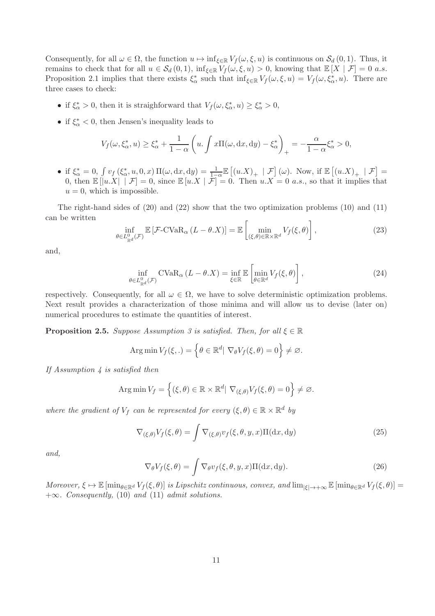Consequently, for all  $\omega \in \Omega$ , the function  $u \mapsto \inf_{\xi \in \mathbb{R}} V_f(\omega, \xi, u)$  is continuous on  $\mathcal{S}_d(0, 1)$ . Thus, it remains to check that for all  $u \in \mathcal{S}_d(0,1)$ ,  $\inf_{\xi \in \mathbb{R}} V_f(\omega,\xi,u) > 0$ , knowing that  $\mathbb{E}[X | \mathcal{F}] = 0$  a.s. Proposition 2.1 implies that there exists  $\xi_{\alpha}^*$  such that  $\inf_{\xi \in \mathbb{R}} V_f(\omega, \xi, u) = V_f(\omega, \xi_{\alpha}^*, u)$ . There are three cases to check:

- if  $\xi_{\alpha}^* > 0$ , then it is straighforward that  $V_f(\omega, \xi_{\alpha}^*, u) \geq \xi_{\alpha}^* > 0$ ,
- if  $\xi_{\alpha}^* < 0$ , then Jensen's inequality leads to

$$
V_f(\omega, \xi_\alpha^*, u) \ge \xi_\alpha^* + \frac{1}{1-\alpha} \left( u \cdot \int x\Pi(\omega, dx, dy) - \xi_\alpha^* \right)_+ = -\frac{\alpha}{1-\alpha} \xi_\alpha^* > 0,
$$

• if  $\xi_{\alpha}^{*} = 0$ ,  $\int v_{f}(\xi_{\alpha}^{*}, u, 0, x) \Pi(\omega, dx, dy) = \frac{1}{1-\alpha} \mathbb{E} \left[ (u.X)_{+} \mid \mathcal{F} \right] (\omega)$ . Now, if  $\mathbb{E} \left[ (u.X)_{+} \mid \mathcal{F} \right] =$ 0, then  $\mathbb{E}[|u.X| \mid \mathcal{F}] = 0$ , since  $\mathbb{E}[u.X | \mathcal{F}] = 0$ . Then  $u.X = 0$  *a.s.*, so that it implies that  $u = 0$ , which is impossible.

The right-hand sides of  $(20)$  and  $(22)$  show that the two optimization problems  $(10)$  and  $(11)$ can be written

$$
\inf_{\theta \in L^0_{\mathbb{R}^d}(\mathcal{F})} \mathbb{E}\left[\mathcal{F}\text{-CVaR}_{\alpha}\left(L - \theta \cdot X\right)\right] = \mathbb{E}\left[\min_{(\xi,\theta) \in \mathbb{R} \times \mathbb{R}^d} V_f(\xi,\theta)\right],\tag{23}
$$

and,

$$
\inf_{\theta \in L^0_{\mathbb{R}^d}(\mathcal{F})} \text{CVaR}_{\alpha} \left( L - \theta \cdot X \right) = \inf_{\xi \in \mathbb{R}} \mathbb{E} \left[ \min_{\theta \in \mathbb{R}^d} V_f(\xi, \theta) \right],\tag{24}
$$

respectively. Consequently, for all  $\omega \in \Omega$ , we have to solve deterministic optimization problems. Next result provides a characterization of those minima and will allow us to devise (later on) numerical procedures to estimate the quantities of interest.

**Proposition 2.5.** Suppose Assumption 3 is satisfied. Then, for all  $\xi \in \mathbb{R}$ 

Arg min 
$$
V_f(\xi,.) = \left\{ \theta \in \mathbb{R}^d \mid \nabla_{\theta} V_f(\xi, \theta) = 0 \right\} \neq \varnothing
$$
.

If Assumption 4 is satisfied then

Arg min 
$$
V_f = \{ (\xi, \theta) \in \mathbb{R} \times \mathbb{R}^d | \nabla_{(\xi, \theta)} V_f(\xi, \theta) = 0 \} \neq \emptyset
$$
.

where the gradient of  $V_f$  can be represented for every  $(\xi, \theta) \in \mathbb{R} \times \mathbb{R}^d$  by

$$
\nabla_{(\xi,\theta)} V_f(\xi,\theta) = \int \nabla_{(\xi,\theta)} v_f(\xi,\theta,y,x) \Pi(\mathrm{d}x,\mathrm{d}y) \tag{25}
$$

and,

$$
\nabla_{\theta} V_f(\xi, \theta) = \int \nabla_{\theta} v_f(\xi, \theta, y, x) \Pi(\mathrm{d}x, \mathrm{d}y). \tag{26}
$$

Moreover,  $\xi \mapsto \mathbb{E} [\min_{\theta \in \mathbb{R}^d} V_f(\xi, \theta)]$  is Lipschitz continuous, convex, and  $\lim_{|\xi| \to +\infty} \mathbb{E} [\min_{\theta \in \mathbb{R}^d} V_f(\xi, \theta)] =$  $+\infty$ . Consequently, (10) and (11) admit solutions.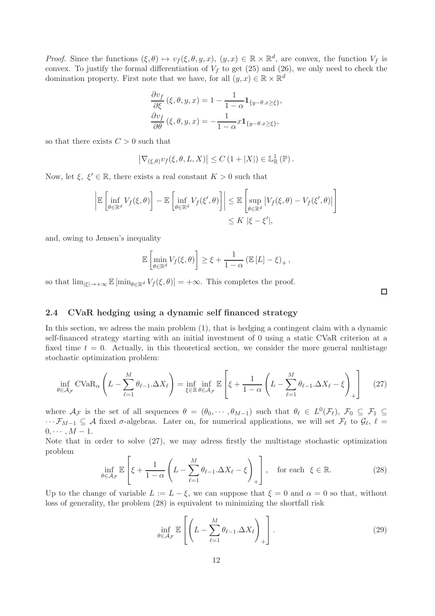*Proof.* Since the functions  $(\xi, \theta) \mapsto v_f(\xi, \theta, y, x), (y, x) \in \mathbb{R} \times \mathbb{R}^d$ , are convex, the function  $V_f$  is convex. To justify the formal differentiation of  $V_f$  to get (25) and (26), we only need to check the domination property. First note that we have, for all  $(y, x) \in \mathbb{R} \times \mathbb{R}^d$ 

$$
\frac{\partial v_f}{\partial \xi}(\xi, \theta, y, x) = 1 - \frac{1}{1 - \alpha} \mathbf{1}_{\{y - \theta, x \ge \xi\}},
$$

$$
\frac{\partial v_f}{\partial \theta}(\xi, \theta, y, x) = -\frac{1}{1 - \alpha} x \mathbf{1}_{\{y - \theta, x \ge \xi\}},
$$

so that there exists  $C > 0$  such that

$$
\left|\nabla_{(\xi,\theta)} v_f(\xi,\theta,L,X)\right| \leq C\left(1+|X|\right) \in \mathbb{L}^1_{\mathbb{R}}\left(\mathbb{P}\right).
$$

Now, let  $\xi, \xi' \in \mathbb{R}$ , there exists a real constant  $K > 0$  such that

$$
\left| \mathbb{E} \left[ \inf_{\theta \in \mathbb{R}^d} V_f(\xi, \theta) \right] - \mathbb{E} \left[ \inf_{\theta \in \mathbb{R}^d} V_f(\xi', \theta) \right] \right| \leq \mathbb{E} \left[ \sup_{\theta \in \mathbb{R}^d} \left| V_f(\xi, \theta) - V_f(\xi', \theta) \right| \right] \leq K \left| \xi - \xi' \right|,
$$

and, owing to Jensen's inequality

$$
\mathbb{E}\left[\min_{\theta\in\mathbb{R}^d}V_f(\xi,\theta)\right]\geq \xi+\frac{1}{1-\alpha}\left(\mathbb{E}\left[L\right]-\xi\right)_+,
$$

so that  $\lim_{|\xi|\to+\infty} \mathbb{E} [\min_{\theta\in\mathbb{R}^d} V_f(\xi,\theta)] = +\infty$ . This completes the proof.

#### 2.4 CVaR hedging using a dynamic self financed strategy

In this section, we adress the main problem (1), that is hedging a contingent claim with a dynamic self-financed strategy starting with an initial investment of 0 using a static CVaR criterion at a fixed time  $t = 0$ . Actually, in this theoretical section, we consider the more general multistage stochastic optimization problem:

$$
\inf_{\theta \in \mathcal{A}_{\mathcal{F}}} \text{CVaR}_{\alpha} \left( L - \sum_{\ell=1}^{M} \theta_{\ell-1} \Delta X_{\ell} \right) = \inf_{\xi \in \mathbb{R}} \inf_{\theta \in \mathcal{A}_{\mathcal{F}}} \mathbb{E} \left[ \xi + \frac{1}{1 - \alpha} \left( L - \sum_{\ell=1}^{M} \theta_{\ell-1} \Delta X_{\ell} - \xi \right)_{+} \right] \tag{27}
$$

where  $\mathcal{A}_{\mathcal{F}}$  is the set of all sequences  $\theta = (\theta_0, \dots, \theta_{M-1})$  such that  $\theta_\ell \in L^0(\mathcal{F}_\ell)$ ,  $\mathcal{F}_0 \subseteq \mathcal{F}_1 \subseteq$  $\cdots \mathcal{F}_{M-1} \subseteq \mathcal{A}$  fixed  $\sigma$ -algebras. Later on, for numerical applications, we will set  $\mathcal{F}_{\ell}$  to  $\mathcal{G}_{\ell}, \ell =$  $0, \cdots, M-1.$ 

Note that in order to solve (27), we may adress firstly the multistage stochastic optimization problem

$$
\inf_{\theta \in \mathcal{A}_{\mathcal{F}}} \mathbb{E}\left[\xi + \frac{1}{1-\alpha} \left(L - \sum_{\ell=1}^{M} \theta_{\ell-1} \Delta X_{\ell} - \xi\right)_{+}\right], \quad \text{for each } \xi \in \mathbb{R}.
$$
 (28)

Up to the change of variable  $L := L - \xi$ , we can suppose that  $\xi = 0$  and  $\alpha = 0$  so that, without loss of generality, the problem (28) is equivalent to minimizing the shortfall risk

$$
\inf_{\theta \in \mathcal{A}_{\mathcal{F}}} \mathbb{E}\left[\left(L - \sum_{\ell=1}^{M} \theta_{\ell-1}.\Delta X_{\ell}\right)_{+}\right].
$$
\n(29)

 $\Box$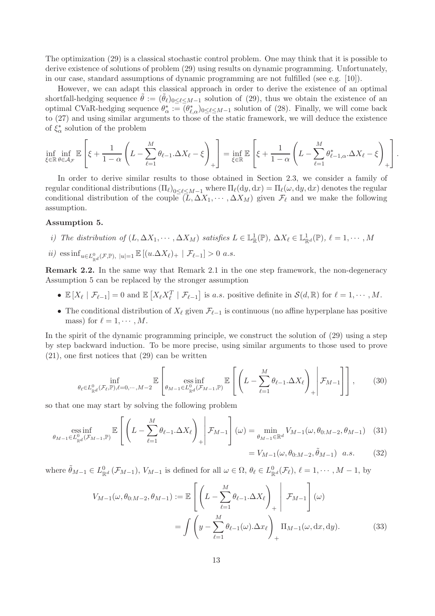The optimization (29) is a classical stochastic control problem. One may think that it is possible to derive existence of solutions of problem (29) using results on dynamic programming. Unfortunately, in our case, standard assumptions of dynamic programming are not fulfilled (see e.g. [10]).

However, we can adapt this classical approach in order to derive the existence of an optimal shortfall-hedging sequence  $\theta := (\theta_\ell)_{0 \leq \ell \leq M-1}$  solution of (29), thus we obtain the existence of an optimal CVaR-hedging sequence  $\theta_{\alpha}^* := (\theta_{\ell,\alpha}^*)_{0 \leq \ell \leq M-1}$  solution of (28). Finally, we will come back to (27) and using similar arguments to those of the static framework, we will deduce the existence of  $\xi^*_{\alpha}$  solution of the problem

$$
\inf_{\xi \in \mathbb{R}} \inf_{\theta \in \mathcal{A}_{\mathcal{F}}} \mathbb{E}\left[\xi + \frac{1}{1-\alpha}\left(L - \sum_{\ell=1}^M \theta_{\ell-1}.\Delta X_\ell - \xi\right)_+\right] = \inf_{\xi \in \mathbb{R}} \mathbb{E}\left[\xi + \frac{1}{1-\alpha}\left(L - \sum_{\ell=1}^M \theta_{\ell-1,\alpha}^*.\Delta X_\ell - \xi\right)_+\right].
$$

In order to derive similar results to those obtained in Section 2.3, we consider a family of regular conditional distributions  $(\Pi_{\ell})_{0 \leq \ell \leq M-1}$  where  $\Pi_{\ell}(dy, dx) = \Pi_{\ell}(\omega, dy, dx)$  denotes the regular conditional distribution of the couple  $(L, \Delta X_1, \cdots, \Delta X_M)$  given  $\mathcal{F}_{\ell}$  and we make the following assumption.

#### Assumption 5.

- i) The distribution of  $(L, \Delta X_1, \dots, \Delta X_M)$  satisfies  $L \in \mathbb{L}^1_{\mathbb{R}}(\mathbb{P})$ ,  $\Delta X_\ell \in \mathbb{L}^1_{\mathbb{R}^d}(\mathbb{P})$ ,  $\ell = 1, \dots, M$
- $ii)$  ess inf<sub>u∈L<sup>0</sup><sub> $\mathbb{R}^d$ </sub>( $\mathcal{F}, \mathbb{P}$ ),  $|u|=1$   $\mathbb{E} [(u.\Delta X_\ell)_+ | \mathcal{F}_{\ell-1}] > 0$  a.s.</sub>

Remark 2.2. In the same way that Remark 2.1 in the one step framework, the non-degeneracy Assumption 5 can be replaced by the stronger assumption

- $\mathbb{E}[X_{\ell} | \mathcal{F}_{\ell-1}] = 0$  and  $\mathbb{E}[X_{\ell}X_{\ell}^T | \mathcal{F}_{\ell-1}]$  is *a.s.* positive definite in  $\mathcal{S}(d,\mathbb{R})$  for  $\ell = 1,\cdots,M$ .
- The conditional distribution of  $X_{\ell}$  given  $\mathcal{F}_{\ell-1}$  is continuous (no affine hyperplane has positive mass) for  $\ell = 1, \cdots, M$ .

In the spirit of the dynamic programming principle, we construct the solution of (29) using a step by step backward induction. To be more precise, using similar arguments to those used to prove (21), one first notices that (29) can be written

$$
\inf_{\theta_{\ell} \in L_{\mathbb{R}^d}^0(\mathcal{F}_{\ell}, \mathbb{P}), \ell = 0, \cdots, M-2} \mathbb{E}\left[\left.\underset{\theta_{M-1} \in L_{\mathbb{R}^d}^0(\mathcal{F}_{M-1}, \mathbb{P})}{\text{ess inf}} \mathbb{E}\left[\left(L - \sum_{\ell=1}^M \theta_{\ell-1} \Delta X_{\ell}\right)_+\bigg| \mathcal{F}_{M-1}\right]\right],\tag{30}
$$

so that one may start by solving the following problem

$$
\underset{\theta_{M-1} \in L_{\mathbb{R}^d}^0(\mathcal{F}_{M-1}, \mathbb{P})}{\text{ess inf}} \mathbb{E}\left[\left(L - \sum_{\ell=1}^M \theta_{\ell-1}.\Delta X_{\ell}\right)_+\bigg| \mathcal{F}_{M-1}\right](\omega) = \underset{\theta_{M-1} \in \mathbb{R}^d}{\text{min}} V_{M-1}(\omega, \theta_{0:M-2}, \theta_{M-1}) \quad (31)
$$
\n
$$
= V_{M-1}(\omega, \theta_{0:M-2}, \tilde{\theta}_{M-1}) \quad a.s. \tag{32}
$$

where  $\tilde{\theta}_{M-1} \in L^0_{\mathbb{R}^d}(\mathcal{F}_{M-1}), V_{M-1}$  is defined for all  $\omega \in \Omega, \theta_\ell \in L^0_{\mathbb{R}^d}(\mathcal{F}_\ell), \ell = 1, \cdots, M-1$ , by

$$
V_{M-1}(\omega, \theta_{0:M-2}, \theta_{M-1}) := \mathbb{E}\left[\left(L - \sum_{\ell=1}^{M} \theta_{\ell-1} \Delta X_{\ell}\right)_{+}\middle| \mathcal{F}_{M-1}\right](\omega)
$$

$$
= \int \left(y - \sum_{\ell=1}^{M} \theta_{\ell-1}(\omega) \Delta x_{\ell}\right)_{+} \Pi_{M-1}(\omega, dx, dy). \tag{33}
$$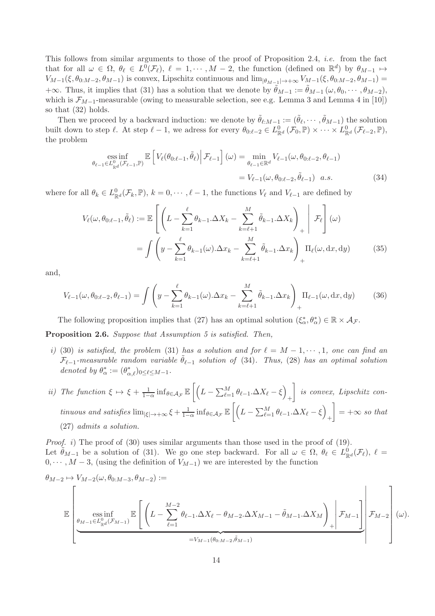This follows from similar arguments to those of the proof of Proposition 2.4, i.e. from the fact that for all  $\omega \in \Omega$ ,  $\theta_{\ell} \in L^0(\mathcal{F}_{\ell})$ ,  $\ell = 1, \cdots, M-2$ , the function (defined on  $\mathbb{R}^d$ ) by  $\theta_{M-1} \mapsto$  $V_{M-1}(\xi, \theta_{0:M-2}, \theta_{M-1})$  is convex, Lipschitz continuous and  $\lim_{|\theta_{M-1}| \to +\infty} V_{M-1}(\xi, \theta_{0:M-2}, \theta_{M-1}) =$ +∞. Thus, it implies that (31) has a solution that we denote by  $\tilde{\theta}_{M-1} := \tilde{\theta}_{M-1}(\omega, \theta_0, \dots, \theta_{M-2}),$ which is  $\mathcal{F}_{M-1}$ -measurable (owing to measurable selection, see e.g. Lemma 3 and Lemma 4 in [10]) so that (32) holds.

Then we proceed by a backward induction: we denote by  $\tilde{\theta}_{\ell:M-1} := (\tilde{\theta}_{\ell}, \cdots, \tilde{\theta}_{M-1})$  the solution built down to step  $\ell$ . At step  $\ell - 1$ , we adress for every  $\theta_{0:\ell-2} \in L^0_{\mathbb{R}^d}(\mathcal{F}_0, \mathbb{P}) \times \cdots \times L^0_{\mathbb{R}^d}(\mathcal{F}_{\ell-2}, \mathbb{P}),$ the problem

ess inf  
\n
$$
\underset{\theta_{\ell-1} \in L_{\mathbb{R}^d}^0(\mathcal{F}_{\ell-1}, \mathbb{P})}{\text{ES}} \mathbb{E}\left[V_{\ell}(\theta_{0:\ell-1}, \tilde{\theta}_{\ell}) \Big| \mathcal{F}_{\ell-1}\right](\omega) = \underset{\theta_{\ell-1} \in \mathbb{R}^d}{\text{min}} V_{\ell-1}(\omega, \theta_{0:\ell-2}, \theta_{\ell-1})
$$
\n
$$
= V_{\ell-1}(\omega, \theta_{0:\ell-2}, \tilde{\theta}_{\ell-1}) \quad a.s. \tag{34}
$$

where for all  $\theta_k \in L^0_{\mathbb{R}^d}(\mathcal{F}_k, \mathbb{P}), k = 0, \cdots, \ell-1$ , the functions  $V_{\ell}$  and  $V_{\ell-1}$  are defined by

$$
V_{\ell}(\omega, \theta_{0:\ell-1}, \tilde{\theta}_{\ell}) := \mathbb{E}\left[\left(L - \sum_{k=1}^{\ell} \theta_{k-1} \Delta X_k - \sum_{k=\ell+1}^{M} \tilde{\theta}_{k-1} \Delta X_k\right)_{+}\middle| \mathcal{F}_{\ell}\right](\omega)
$$

$$
= \int \left(y - \sum_{k=1}^{\ell} \theta_{k-1}(\omega) \Delta x_k - \sum_{k=\ell+1}^{M} \tilde{\theta}_{k-1} \Delta x_k\right)_{+} \Pi_{\ell}(\omega, dx, dy) \tag{35}
$$

and,

$$
V_{\ell-1}(\omega, \theta_{0:\ell-2}, \theta_{\ell-1}) = \int \left( y - \sum_{k=1}^{\ell} \theta_{k-1}(\omega) \Delta x_k - \sum_{k=\ell+1}^{M} \tilde{\theta}_{k-1} \Delta x_k \right) \Pi_{\ell-1}(\omega, dx, dy) \tag{36}
$$

The following proposition implies that (27) has an optimal solution  $(\xi_{\alpha}^*, \theta_{\alpha}^*) \in \mathbb{R} \times \mathcal{A}_{\mathcal{F}}$ .

Proposition 2.6. Suppose that Assumption 5 is satisfied. Then,

- i) (30) is satisfied, the problem (31) has a solution and for  $\ell = M 1, \dots, 1$ , one can find an  $\mathcal{F}_{\ell-1}$ -measurable random variable  $\theta_{\ell-1}$  solution of (34). Thus, (28) has an optimal solution denoted by  $\theta_{\alpha}^* := (\theta_{\alpha,\ell}^*)_{0 \leq \ell \leq M-1}$ .
- ii) The function  $\xi \mapsto \xi + \frac{1}{1-\alpha} \inf_{\theta \in A_{\mathcal{F}}} \mathbb{E}\left[ \left( \frac{1}{\lambda} \right) \mathbb{E}\left[ \left( \frac{1}{\lambda} \right) \mathbb{E}\left[ \left( \frac{1}{\lambda} \right) \mathbb{E}\left[ \left( \frac{1}{\lambda} \right) \mathbb{E}\left[ \left( \frac{1}{\lambda} \right) \mathbb{E}\left[ \left( \frac{1}{\lambda} \right) \mathbb{E}\left[ \left( \frac{1}{\lambda} \right) \mathbb{E}\left[ \left( \frac{1}{\$  $L - \sum_{\ell=1}^{M} \theta_{\ell-1} \Delta X_{\ell} - \xi$ + 1 is convex, Lipschitz continuous and satisfies  $\lim_{|\xi| \to +\infty} \xi + \frac{1}{1-\xi}$  $\frac{1}{1-\alpha}\inf_{\theta\in\mathcal{A}_{\mathcal{F}}}\mathbb{E}\Bigg[\Bigg($  $L - \sum_{\ell=1}^{M} \theta_{\ell-1} \Delta X_{\ell} - \xi$  $^{+}$ 1  $= +\infty$  so that (27) admits a solution.

*Proof. i*) The proof of (30) uses similar arguments than those used in the proof of (19). Let  $\tilde{\theta}_{M-1}$  be a solution of (31). We go one step backward. For all  $\omega \in \Omega$ ,  $\theta_{\ell} \in L^0_{\mathbb{R}^d}(\mathcal{F}_{\ell})$ ,  $\ell =$  $0, \dots, M-3$ , (using the definition of  $V_{M-1}$ ) we are interested by the function

$$
\theta_{M-2} \mapsto V_{M-2}(\omega, \theta_{0:M-3}, \theta_{M-2}) :=
$$
\n
$$
\mathbb{E}\left[\left(L - \sum_{\ell=1}^{M-2} \theta_{\ell-1} \Delta X_{\ell} - \theta_{M-2} \Delta X_{M-1} - \tilde{\theta}_{M-1} \Delta X_M\right) + \left|\mathcal{F}_{M-1}\right|\right] \mathcal{F}_{M-2}\left[(\omega) \Delta X_{\ell} - \theta_{M-2} \Delta X_{M-1} - \tilde{\theta}_{M-1} \Delta X_M\right] + \left[\mathcal{F}_{M-1}\right] \mathcal{F}_{M-2}\left[(\omega) \Delta X_{\ell} - \theta_{M-2} \Delta X_{M-1} - \tilde{\theta}_{M-1} \Delta X_M\right] \mathcal{F}_{M-1}\left[(\omega) \Delta X_{\ell} - \theta_{M-2} \Delta X_{M-1} - \tilde{\theta}_{M-1} \Delta X_M\right]
$$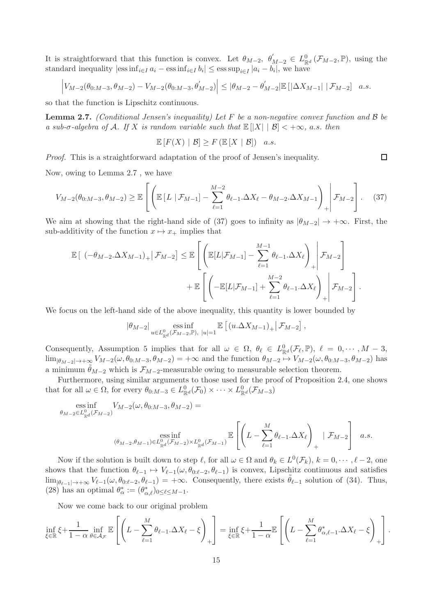It is straightforward that this function is convex. Let  $\theta_{M-2}$ ,  $\theta'_{M-2} \in L^0_{\mathbb{R}^d}(\mathcal{F}_{M-2}, \mathbb{P})$ , using the standard inequality  $|\text{ess inf}_{i \in I} a_i - \text{ess inf}_{i \in I} b_i| \leq \text{ess sup}_{i \in I} |a_i - b_i|$ , we have

$$
\left|V_{M-2}(\theta_{0:M-3},\theta_{M-2})-V_{M-2}(\theta_{0:M-3},\theta'_{M-2})\right| \leq |\theta_{M-2}-\theta'_{M-2}|\mathbb{E}\left[\left|\Delta X_{M-1}\right|\left|\mathcal{F}_{M-2}\right|\right] \ a.s.
$$

so that the function is Lipschitz continuous.

**Lemma 2.7.** (Conditional Jensen's inequality) Let F be a non-negative convex function and  $\beta$  be a sub- $\sigma$ -algebra of A. If X is random variable such that  $\mathbb{E}(|X| \mid \mathcal{B}| < +\infty$ , a.s. then

$$
\mathbb{E}\left[F(X) \mid \mathcal{B}\right] \geq F\left(\mathbb{E}\left[X \mid \mathcal{B}\right]\right) \quad a.s.
$$

Proof. This is a straightforward adaptation of the proof of Jensen's inequality.

Now, owing to Lemma 2.7 , we have

$$
V_{M-2}(\theta_{0:M-3}, \theta_{M-2}) \geq \mathbb{E}\left[\left(\mathbb{E}\left[L \mid \mathcal{F}_{M-1}\right] - \sum_{\ell=1}^{M-2} \theta_{\ell-1} \Delta X_{\ell} - \theta_{M-2} \Delta X_{M-1}\right)_{+}\middle| \mathcal{F}_{M-2}\right].
$$
 (37)

We aim at showing that the right-hand side of (37) goes to infinity as  $|\theta_{M-2}| \to +\infty$ . First, the sub-additivity of the function  $x \mapsto x_+$  implies that

$$
\mathbb{E}\left[\left.(-\theta_{M-2}.\Delta X_{M-1})_{+}\right| \mathcal{F}_{M-2}\right] \leq \mathbb{E}\left[\left(\mathbb{E}\left[L|\mathcal{F}_{M-1}\right]-\sum_{\ell=1}^{M-1}\theta_{\ell-1}.\Delta X_{\ell}\right)_{+}\right| \mathcal{F}_{M-2}\right] + \mathbb{E}\left[\left(-\mathbb{E}\left[L|\mathcal{F}_{M-1}\right]+\sum_{\ell=1}^{M-2}\theta_{\ell-1}.\Delta X_{\ell}\right)_{+}\right| \mathcal{F}_{M-2}\right].
$$

We focus on the left-hand side of the above inequality, this quantity is lower bounded by

$$
|\theta_{M-2}| \underset{u \in L^0_{\mathbb{R}^d}(\mathcal{F}_{M-2}, \mathbb{P}), |u|=1}{\text{ess inf}} \mathbb{E}\left[\left(u.\Delta X_{M-1}\right)_+ \middle| \mathcal{F}_{M-2}\right],
$$

Consequently, Assumption 5 implies that for all  $\omega \in \Omega$ ,  $\theta_{\ell} \in L^0_{\mathbb{R}^d}(\mathcal{F}_{\ell}, \mathbb{P})$ ,  $\ell = 0, \cdots, M-3$ ,  $\lim_{|\theta_{M-2}|\to+\infty} V_{M-2}(\omega,\theta_{0:M-3},\theta_{M-2}) = +\infty$  and the function  $\theta_{M-2} \to V_{M-2}(\omega,\theta_{0:M-3},\theta_{M-2})$  has a minimum  $\hat{\theta}_{M-2}$  which is  $\mathcal{F}_{M-2}$ -measurable owing to measurable selection theorem.

Furthermore, using similar arguments to those used for the proof of Proposition 2.4, one shows that for all  $\omega \in \Omega$ , for every  $\theta_{0:M-3} \in L^0_{\mathbb{R}^d}(\mathcal{F}_0) \times \cdots \times L^0_{\mathbb{R}^d}(\mathcal{F}_{M-3})$ 

ess inf 
$$
V_{M-2}(\omega, \theta_{0:M-3}, \theta_{M-2})
$$
  
\n $\qquad \qquad = \text{ess inf}$   
\n
$$
\qquad \qquad \text{ess inf}
$$
\n
$$
(\theta_{M-2}, \theta_{M-1}) \in L^0_{\mathbb{R}^d}(\mathcal{F}_{M-2}) \times L^0_{\mathbb{R}^d}(\mathcal{F}_{M-1}) \mathbb{E}\left[\left(L - \sum_{\ell=1}^M \theta_{\ell-1} \Delta X_{\ell}\right)_+ | \mathcal{F}_{M-2}\right] \quad a.s.
$$

Now if the solution is built down to step  $\ell$ , for all  $\omega \in \Omega$  and  $\theta_k \in L^0(\mathcal{F}_k)$ ,  $k = 0, \dots, \ell - 2$ , one shows that the function  $\theta_{\ell-1} \mapsto V_{\ell-1}(\omega, \theta_{0:\ell-2}, \theta_{\ell-1})$  is convex, Lipschitz continuous and satisfies  $\lim_{|\theta_{\ell-1}| \to +\infty} V_{\ell-1}(\omega, \theta_{0:\ell-2}, \theta_{\ell-1}) = +\infty$ . Consequently, there exists  $\tilde{\theta}_{\ell-1}$  solution of (34). Thus, (28) has an optimal  $\theta_{\alpha}^* := (\theta_{\alpha,\ell}^*)_{0 \leq \ell \leq M-1}$ .

Now we come back to our original problem

 $\theta_\Lambda$ 

$$
\inf_{\xi \in \mathbb{R}} \xi + \frac{1}{1 - \alpha} \inf_{\theta \in \mathcal{A}_{\mathcal{F}}} \mathbb{E}\left[\left(L - \sum_{\ell=1}^{M} \theta_{\ell-1} \Delta X_{\ell} - \xi\right)_{+}\right] = \inf_{\xi \in \mathbb{R}} \xi + \frac{1}{1 - \alpha} \mathbb{E}\left[\left(L - \sum_{\ell=1}^{M} \theta_{\alpha,\ell-1}^{*} \Delta X_{\ell} - \xi\right)_{+}\right].
$$

 $\Box$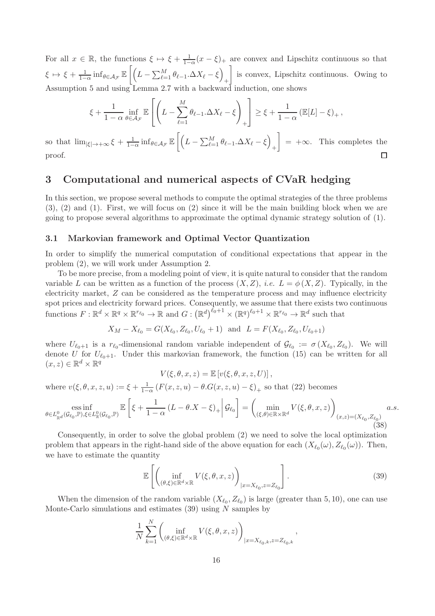For all  $x \in \mathbb{R}$ , the functions  $\xi \mapsto \xi + \frac{1}{1-\alpha}(x-\xi)$  are convex and Lipschitz continuous so that  $\xi \mapsto \xi + \frac{1}{1-}$  $\frac{1}{1-\alpha}\inf_{\theta\in\mathcal{A}_{\mathcal{F}}}\mathbb{E}\Bigg[\Bigg($  $L - \sum_{\ell=1}^{M} \theta_{\ell-1} \Delta X_{\ell} - \xi$ + 1 is convex, Lipschitz continuous. Owing to Assumption 5 and using Lemma 2.7 with a backward induction, one shows

$$
\xi + \frac{1}{1 - \alpha} \inf_{\theta \in \mathcal{A}_{\mathcal{F}}} \mathbb{E}\left[\left(L - \sum_{\ell=1}^M \theta_{\ell-1}.\Delta X_{\ell} - \xi\right)_+\right] \ge \xi + \frac{1}{1 - \alpha} \left(\mathbb{E}[L] - \xi\right)_+,
$$

 $\frac{1}{1-\alpha} \inf_{\theta \in \mathcal{A}_{\mathcal{F}}} \mathbb{E}\left[\left(\right,$ 1  $L - \sum_{\ell=1}^{M} \theta_{\ell-1} \Delta X_{\ell} - \xi$ so that  $\lim_{|\xi| \to +\infty} \xi + \frac{1}{1-\xi}$  $= +\infty$ . This completes the  $^{+}$ proof.  $\Box$ 

## 3 Computational and numerical aspects of CVaR hedging

In this section, we propose several methods to compute the optimal strategies of the three problems (3), (2) and (1). First, we will focus on (2) since it will be the main building block when we are going to propose several algorithms to approximate the optimal dynamic strategy solution of (1).

#### 3.1 Markovian framework and Optimal Vector Quantization

In order to simplify the numerical computation of conditional expectations that appear in the problem (2), we will work under Assumption 2.

To be more precise, from a modeling point of view, it is quite natural to consider that the random variable L can be written as a function of the process  $(X, Z)$ , *i.e.*  $L = \phi(X, Z)$ . Typically, in the electricity market, Z can be considered as the temperature process and may influence electricity spot prices and electricity forward prices. Consequently, we assume that there exists two continuous functions  $F: \mathbb{R}^d \times \mathbb{R}^q \times \mathbb{R}^{r_{\ell_0}} \to \mathbb{R}$  and  $G: (\mathbb{R}^d)^{\ell_0+1} \times (\mathbb{R}^q)^{\ell_0+1} \times \mathbb{R}^{r_{\ell_0}} \to \mathbb{R}^d$  such that

$$
X_M - X_{\ell_0} = G(X_{\ell_0}, Z_{\ell_0}, U_{\ell_0} + 1)
$$
 and  $L = F(X_{\ell_0}, Z_{\ell_0}, U_{\ell_0 + 1})$ 

where  $U_{\ell_0+1}$  is a  $r_{\ell_0}$ -dimensional random variable independent of  $\mathcal{G}_{\ell_0} := \sigma(X_{\ell_0}, Z_{\ell_0})$ . We will denote U for  $U_{\ell_0+1}$ . Under this markovian framework, the function (15) can be written for all  $(x, z) \in \mathbb{R}^d \times \mathbb{R}^q$ 

$$
V(\xi, \theta, x, z) = \mathbb{E}\left[v(\xi, \theta, x, z, U)\right],
$$

where  $v(\xi, \theta, x, z, u) := \xi + \frac{1}{1 - \xi}$  $\frac{1}{1-\alpha}$   $(F(x, z, u) - \theta.G(x, z, u) - \xi)$ <sub>+</sub> so that (22) becomes

$$
\underset{\theta \in L_{\mathbb{R}^d}^0(\mathcal{G}_{\ell_0}, \mathbb{P}), \xi \in L_{\mathbb{R}}^0(\mathcal{G}_{\ell_0}, \mathbb{P})}{\text{ess inf}} \mathbb{E}\left[\xi + \frac{1}{1-\alpha} \left(L - \theta \cdot X - \xi\right)_+ \middle| \mathcal{G}_{\ell_0}\right] = \left(\underset{(\xi, \theta) \in \mathbb{R} \times \mathbb{R}^d}{\min} V(\xi, \theta, x, z)\right)_{(x, z) = (X_{\ell_0}, Z_{\ell_0})} a.s.\tag{38}
$$

Consequently, in order to solve the global problem (2) we need to solve the local optimization problem that appears in the right-hand side of the above equation for each  $(X_{\ell_0}(\omega), Z_{\ell_0}(\omega))$ . Then, we have to estimate the quantity

$$
\mathbb{E}\left[\left(\inf_{(\theta,\xi)\in\mathbb{R}^d\times\mathbb{R}}V(\xi,\theta,x,z)\right)_{|x=X_{\ell_0},z=Z_{\ell_0}}\right].\tag{39}
$$

When the dimension of the random variable  $(X_{\ell_0}, Z_{\ell_0})$  is large (greater than 5, 10), one can use Monte-Carlo simulations and estimates  $(39)$  using N samples by

$$
\frac{1}{N} \sum_{k=1}^N \left( \inf_{(\theta,\xi)\in\mathbb{R}^d\times\mathbb{R}} V(\xi,\theta,x,z) \right)_{|x=X_{\ell_0,k},z=Z_{\ell_0,k}},
$$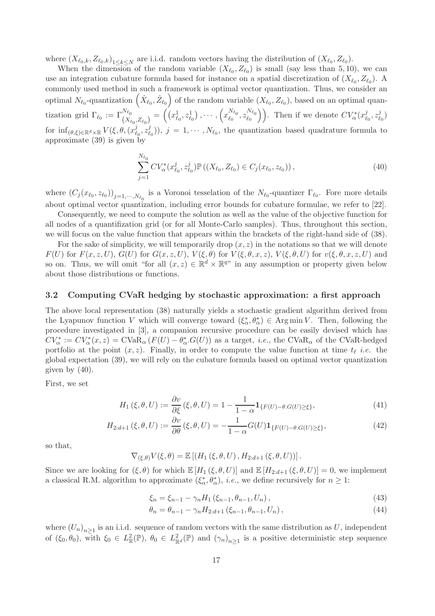where  $(X_{\ell_0,k}, Z_{\ell_0,k})_{1 \leq k \leq N}$  are i.i.d. random vectors having the distribution of  $(X_{\ell_0}, Z_{\ell_0})$ .

When the dimension of the random variable  $(X_{\ell_0}, Z_{\ell_0})$  is small (say less than 5, 10), we can use an integration cubature formula based for instance on a spatial discretization of  $(X_{\ell_0}, Z_{\ell_0})$ . A commonly used method in such a framework is optimal vector quantization. Thus, we consider an optimal  $N_{\ell_0}$ -quantization  $(\hat{X}_{\ell_0}, \hat{Z}_{\ell_0})$  of the random variable  $(X_{\ell_0}, Z_{\ell_0})$ , based on an optimal quantization grid  $\Gamma_{\ell_0} := \Gamma_{(X_{\ell_0}, Z_{\ell_0})}^{N_{\ell_0}} = ((x_{\ell_0}^1, z_{\ell_0}^1), \cdots, (x_{\ell_0}^{N_{\ell_0}}))$  $\frac{N_{\ell_0}}{\ell_0}, z_{\ell_0}^{N_{\ell_0}}$  $\binom{N_{\ell_0}}{\ell_0}$ ). Then if we denote  $CV^*_{\alpha}(x^j_{\ell})$  $_{\ell_0}^j, z_\ell^j$  $l_0^{\,j})$ for  $\inf_{(\theta,\xi)\in\mathbb{R}^d\times\mathbb{R}}V(\xi,\theta,(x^j_\ell))$  $_{\ell_0}^j, z_\ell^j$  $(\ell_0)(i)$ ,  $j = 1, \dots, N_{\ell_0}$ , the quantization based quadrature formula to approximate (39) is given by

$$
\sum_{j=1}^{N_{\ell_0}} CV_{\alpha}^*(x_{\ell_0}^j, z_{\ell_0}^j) \mathbb{P}\left( (X_{\ell_0}, Z_{\ell_0}) \in C_j(x_{\ell_0}, z_{\ell_0}) \right),\tag{40}
$$

where  $(C_j(x_{\ell_0}, z_{\ell_0}))_{j=1,\dots,N_{\ell_0}}$  is a Voronoi tesselation of the  $N_{\ell_0}$ -quantizer  $\Gamma_{\ell_0}$ . Fore more details about optimal vector quantization, including error bounds for cubature formulae, we refer to [22].

Consequently, we need to compute the solution as well as the value of the objective function for all nodes of a quantifization grid (or for all Monte-Carlo samples). Thus, throughout this section, we will focus on the value function that appears within the brackets of the right-hand side of (38).

For the sake of simplicity, we will temporarily drop  $(x, z)$  in the notations so that we will denote  $F(U)$  for  $F(x, z, U)$ ,  $G(U)$  for  $G(x, z, U)$ ,  $V(\xi, \theta)$  for  $V(\xi, \theta, x, z)$ ,  $V(\xi, \theta, U)$  for  $v(\xi, \theta, x, z, U)$  and so on. Thus, we will omit "for all  $(x, z) \in \mathbb{R}^d \times \mathbb{R}^{q}$ " in any assumption or property given below about those distributions or functions.

#### 3.2 Computing CVaR hedging by stochastic approximation: a first approach

The above local representation (38) naturally yields a stochastic gradient algorithm derived from the Lyapunov function V which will converge toward  $(\xi^*_{\alpha}, \theta^*_{\alpha}) \in \text{Arg min } V$ . Then, following the procedure investigated in [3], a companion recursive procedure can be easily devised which has  $CV^*_{\alpha} := CV^*_{\alpha}(x, z) = \text{CVaR}_{\alpha}(F(U) - \theta^*_{\alpha} G(U))$  as a target, *i.e.*, the CVaR<sub>α</sub> of the CVaR-hedged portfolio at the point  $(x, z)$ . Finally, in order to compute the value function at time  $t_{\ell}$  *i.e.* the global expectation (39), we will rely on the cubature formula based on optimal vector quantization given by (40).

First, we set

$$
H_1(\xi, \theta, U) := \frac{\partial v}{\partial \xi}(\xi, \theta, U) = 1 - \frac{1}{1 - \alpha} \mathbf{1}_{\{F(U) - \theta, G(U) \ge \xi\}},\tag{41}
$$

$$
H_{2:d+1}(\xi,\theta,U) := \frac{\partial v}{\partial \theta}(\xi,\theta,U) = -\frac{1}{1-\alpha}G(U)\mathbf{1}_{\{F(U)-\theta,G(U)\geq\xi\}},\tag{42}
$$

so that,

$$
\nabla_{(\xi,\theta)} V(\xi,\theta) = \mathbb{E} \left[ \left( H_1(\xi,\theta,U) \,, H_{2:d+1}(\xi,\theta,U) \right) \right].
$$

Since we are looking for  $(\xi, \theta)$  for which  $\mathbb{E}[H_1(\xi, \theta, U)]$  and  $\mathbb{E}[H_{2:d+1}(\xi, \theta, U)] = 0$ , we implement a classical R.M. algorithm to approximate  $(\xi^*, \theta^*_\alpha)$ , *i.e.*, we define recursively for  $n \geq 1$ :

$$
\xi_n = \xi_{n-1} - \gamma_n H_1(\xi_{n-1}, \theta_{n-1}, U_n), \qquad (43)
$$

$$
\theta_n = \theta_{n-1} - \gamma_n H_{2:d+1} (\xi_{n-1}, \theta_{n-1}, U_n), \qquad (44)
$$

where  $(U_n)_{n\geq 1}$  is an i.i.d. sequence of random vectors with the same distribution as U, independent of  $(\xi_0, \theta_0)$ , with  $\xi_0 \in L^2_{\mathbb{R}}(\mathbb{P})$ ,  $\theta_0 \in L^2_{\mathbb{R}^d}(\mathbb{P})$  and  $(\gamma_n)_{n \geq 1}$  is a positive deterministic step sequence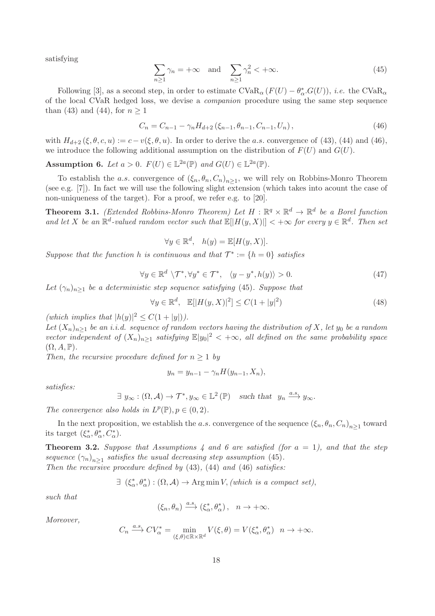satisfying

$$
\sum_{n\geq 1} \gamma_n = +\infty \quad \text{and} \quad \sum_{n\geq 1} \gamma_n^2 < +\infty. \tag{45}
$$

Following [3], as a second step, in order to estimate  $CVaR_{\alpha}(F(U) - \theta_{\alpha}^* G(U))$ , *i.e.* the  $CVaR_{\alpha}$ of the local CVaR hedged loss, we devise a companion procedure using the same step sequence than (43) and (44), for  $n \geq 1$ 

$$
C_n = C_{n-1} - \gamma_n H_{d+2} (\xi_{n-1}, \theta_{n-1}, C_{n-1}, U_n), \qquad (46)
$$

with  $H_{d+2}(\xi, \theta, c, u) := c - v(\xi, \theta, u)$ . In order to derive the a.s. convergence of (43), (44) and (46), we introduce the following additional assumption on the distribution of  $F(U)$  and  $G(U)$ .

**Assumption 6.** Let  $a > 0$ .  $F(U) \in \mathbb{L}^{2a}(\mathbb{P})$  and  $G(U) \in \mathbb{L}^{2a}(\mathbb{P})$ .

To establish the a.s. convergence of  $(\xi_n, \theta_n, C_n)_{n \geq 1}$ , we will rely on Robbins-Monro Theorem (see e.g. [7]). In fact we will use the following slight extension (which takes into acount the case of non-uniqueness of the target). For a proof, we refer e.g. to [20].

**Theorem 3.1.** (Extended Robbins-Monro Theorem) Let  $H : \mathbb{R}^q \times \mathbb{R}^d \to \mathbb{R}^d$  be a Borel function and let X be an  $\mathbb{R}^d$ -valued random vector such that  $\mathbb{E}[|H(y,X)|] < +\infty$  for every  $y \in \mathbb{R}^d$ . Then set

 $\forall y \in \mathbb{R}^d$ ,  $h(y) = \mathbb{E}[H(y, X)].$ 

Suppose that the function h is continuous and that  $\mathcal{T}^* := \{h = 0\}$  satisfies

$$
\forall y \in \mathbb{R}^d \setminus \mathcal{T}^*, \forall y^* \in \mathcal{T}^*, \quad \langle y - y^*, h(y) \rangle > 0. \tag{47}
$$

Let  $(\gamma_n)_{n>1}$  be a deterministic step sequence satisfying (45). Suppose that

$$
\forall y \in \mathbb{R}^d, \quad \mathbb{E}[|H(y, X)|^2] \le C(1+|y|^2) \tag{48}
$$

(which implies that  $|h(y)|^2 \leq C(1+|y|)$ ).

Let  $(X_n)_{n>1}$  be an i.i.d. sequence of random vectors having the distribution of X, let  $y_0$  be a random vector independent of  $(X_n)_{n\geq 1}$  satisfying  $\mathbb{E}|y_0|^2 < +\infty$ , all defined on the same probability space  $(\Omega, A, \mathbb{P}).$ 

Then, the recursive procedure defined for  $n \geq 1$  by

$$
y_n = y_{n-1} - \gamma_n H(y_{n-1}, X_n),
$$

satisfies:

$$
\exists y_{\infty} : (\Omega, \mathcal{A}) \to \mathcal{T}^*, y_{\infty} \in \mathbb{L}^2(\mathbb{P}) \text{ such that } y_n \xrightarrow{a.s.} y_{\infty}.
$$

The convergence also holds in  $L^p(\mathbb{P}), p \in (0, 2)$ .

In the next proposition, we establish the a.s. convergence of the sequence  $(\xi_n, \theta_n, C_n)_{n \geq 1}$  toward its target  $(\xi^*_{\alpha}, \theta^*_{\alpha}, C^*_{\alpha}).$ 

**Theorem 3.2.** Suppose that Assumptions 4 and 6 are satisfied (for  $a = 1$ ), and that the step sequence  $(\gamma_n)_{n\geq 1}$  satisfies the usual decreasing step assumption (45).

Then the recursive procedure defined by  $(43)$ ,  $(44)$  and  $(46)$  satisfies:

$$
\exists (\xi_{\alpha}^*, \theta_{\alpha}^*) : (\Omega, \mathcal{A}) \to \text{Arg min } V, \text{ (which is a compact set)},
$$

such that

$$
(\xi_n,\theta_n)\xrightarrow{a.s.}(\xi_\alpha^*,\theta_\alpha^*)\,,\quad n\to+\infty.
$$

Moreover,

$$
C_n \xrightarrow{a.s.} CV_{\alpha}^* = \min_{(\xi,\theta) \in \mathbb{R} \times \mathbb{R}^d} V(\xi,\theta) = V(\xi_{\alpha}^*,\theta_{\alpha}^*) \quad n \to +\infty.
$$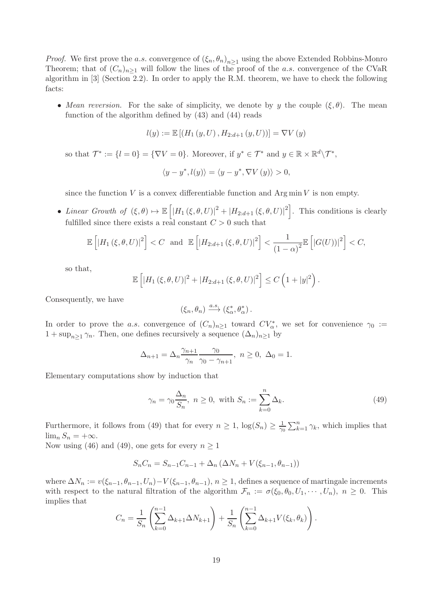*Proof.* We first prove the a.s. convergence of  $(\xi_n, \theta_n)_{n \geq 1}$  using the above Extended Robbins-Monro Theorem; that of  $(C_n)_{n>1}$  will follow the lines of the proof of the a.s. convergence of the CVaR algorithm in [3] (Section 2.2). In order to apply the R.M. theorem, we have to check the following facts:

• Mean reversion. For the sake of simplicity, we denote by y the couple  $(\xi, \theta)$ . The mean function of the algorithm defined by (43) and (44) reads

$$
l(y) := \mathbb{E}[(H_1(y, U), H_{2:d+1}(y, U))] = \nabla V(y)
$$

so that  $\mathcal{T}^* := \{l = 0\} = \{\nabla V = 0\}.$  Moreover, if  $y^* \in \mathcal{T}^*$  and  $y \in \mathbb{R} \times \mathbb{R}^d \backslash \mathcal{T}^*$ ,

$$
\langle y - y^*, l(y) \rangle = \langle y - y^*, \nabla V(y) \rangle > 0,
$$

since the function  $V$  is a convex differentiable function and  $\text{Arg min } V$  is non empty.

• Linear Growth of  $(\xi, \theta) \mapsto \mathbb{E}\left[ |H_1(\xi, \theta, U)|^2 + |H_{2:d+1}(\xi, \theta, U)|^2 \right]$ . This conditions is clearly fulfilled since there exists a real constant  $C > 0$  such that

$$
\mathbb{E}\left[\left|H_1\left(\xi,\theta,U\right)\right|^2\right] < C \quad \text{and} \quad \mathbb{E}\left[\left|H_{2:d+1}\left(\xi,\theta,U\right)\right|^2\right] < \frac{1}{\left(1-\alpha\right)^2} \mathbb{E}\left[\left|G(U)\right|\right|^2\right] < C,
$$

so that,

$$
\mathbb{E}\left[|H_1(\xi,\theta,U)|^2 + |H_{2:d+1}(\xi,\theta,U)|^2\right] \leq C\left(1+|y|^2\right).
$$

Consequently, we have

$$
(\xi_n,\theta_n)\xrightarrow{a.s.}(\xi_\alpha^*,\theta_\alpha^*)\,.
$$

In order to prove the a.s. convergence of  $(C_n)_{n\geq 1}$  toward  $CV^*_{\alpha}$ , we set for convenience  $\gamma_0 :=$  $1 + \sup_{n>1} \gamma_n$ . Then, one defines recursively a sequence  $(\Delta_n)_{n\geq 1}$  by

$$
\Delta_{n+1} = \Delta_n \frac{\gamma_{n+1}}{\gamma_n} \frac{\gamma_0}{\gamma_0 - \gamma_{n+1}}, \ n \ge 0, \ \Delta_0 = 1.
$$

Elementary computations show by induction that

$$
\gamma_n = \gamma_0 \frac{\Delta_n}{S_n}, \ n \ge 0, \text{ with } S_n := \sum_{k=0}^n \Delta_k. \tag{49}
$$

Furthermore, it follows from (49) that for every  $n \geq 1$ ,  $\log(S_n) \geq \frac{1}{\gamma_0}$  $\frac{1}{\gamma_0} \sum_{k=1}^n \gamma_k$ , which implies that  $\lim_{n} S_n = +\infty.$ 

Now using (46) and (49), one gets for every  $n \geq 1$ 

$$
S_n C_n = S_{n-1} C_{n-1} + \Delta_n (\Delta N_n + V(\xi_{n-1}, \theta_{n-1}))
$$

where  $\Delta N_n := v(\xi_{n-1}, \theta_{n-1}, U_n) - V(\xi_{n-1}, \theta_{n-1}), n \ge 1$ , defines a sequence of martingale increments with respect to the natural filtration of the algorithm  $\mathcal{F}_n := \sigma(\xi_0, \theta_0, U_1, \dots, U_n), n \geq 0$ . This implies that

$$
C_n = \frac{1}{S_n} \left( \sum_{k=0}^{n-1} \Delta_{k+1} \Delta N_{k+1} \right) + \frac{1}{S_n} \left( \sum_{k=0}^{n-1} \Delta_{k+1} V(\xi_k, \theta_k) \right).
$$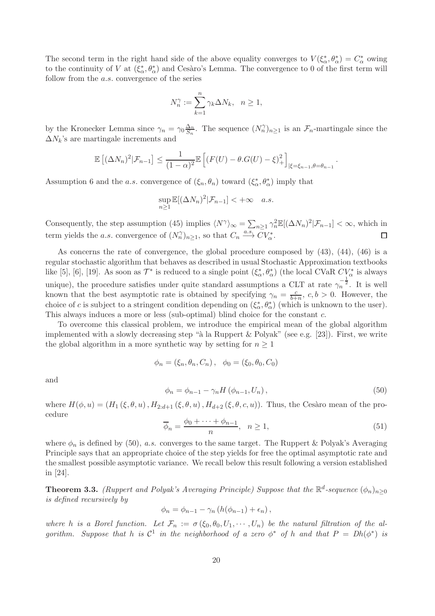The second term in the right hand side of the above equality converges to  $V(\xi^*_\alpha, \theta^*_\alpha) = C^*_\alpha$  owing to the continuity of V at  $(\xi^*_\alpha, \theta^*_\alpha)$  and Cesàro's Lemma. The convergence to 0 of the first term will follow from the a.s. convergence of the series

$$
N_n^{\gamma} := \sum_{k=1}^n \gamma_k \Delta N_k, \quad n \ge 1,
$$

by the Kronecker Lemma since  $\gamma_n = \gamma_0 \frac{\Delta_n}{S_n}$  $\frac{\Delta_n}{S_n}$ . The sequence  $(N_n^{\gamma})_{n\geq 1}$  is an  $\mathcal{F}_n$ -martingale since the  $\Delta N_k$ 's are martingale increments and

$$
\mathbb{E}\left[ (\Delta N_n)^2 | \mathcal{F}_{n-1} \right] \leq \frac{1}{(1-\alpha)^2} \mathbb{E}\left[ (F(U) - \theta.G(U) - \xi)^2 + \right]_{|\xi = \xi_{n-1}, \theta = \theta_{n-1}}.
$$

Assumption 6 and the *a.s.* convergence of  $(\xi_n, \theta_n)$  toward  $(\xi_\alpha^*, \theta_\alpha^*)$  imply that

$$
\sup_{n\geq 1} \mathbb{E}[(\Delta N_n)^2 | \mathcal{F}_{n-1}] < +\infty \quad a.s.
$$

Consequently, the step assumption (45) implies  $\langle N^{\gamma} \rangle_{\infty} = \sum_{n \geq 1} \gamma_n^2 \mathbb{E}[(\Delta N_n)^2 | \mathcal{F}_{n-1}] < \infty$ , which in term yields the *a.s.* convergence of  $(N_n^{\gamma})_{n\geq 1}$ , so that  $C_n \stackrel{a.s.}{\longrightarrow} \overline{C}V_{\alpha}^*$ .  $\Box$ 

As concerns the rate of convergence, the global procedure composed by (43), (44), (46) is a regular stochastic algorithm that behaves as described in usual Stochastic Approximation textbooks like [5], [6], [19]. As soon as  $\mathcal{T}^*$  is reduced to a single point  $(\xi^*_\alpha, \theta^*_\alpha)$  (the local CVaR  $CV^*_\alpha$  is always unique), the procedure satisfies under quite standard assumptions a CLT at rate  $\gamma_n^{-\frac{1}{2}}$ . It is well known that the best asymptotic rate is obtained by specifying  $\gamma_n = \frac{c}{b+1}$  $\frac{c}{b+n}$ ,  $c, b > 0$ . However, the choice of c is subject to a stringent condition depending on  $(\xi^*_{\alpha}, \theta^*_{\alpha})$  (which is unknown to the user). This always induces a more or less (sub-optimal) blind choice for the constant c.

To overcome this classical problem, we introduce the empirical mean of the global algorithm implemented with a slowly decreasing step "à la Ruppert & Polyak" (see e.g. [23]). First, we write the global algorithm in a more synthetic way by setting for  $n \geq 1$ 

$$
\phi_n = (\xi_n, \theta_n, C_n), \phi_0 = (\xi_0, \theta_0, C_0)
$$

and

$$
\phi_n = \phi_{n-1} - \gamma_n H\left(\phi_{n-1}, U_n\right),\tag{50}
$$

where  $H(\phi, u) = (H_1(\xi, \theta, u), H_{2:d+1}(\xi, \theta, u), H_{d+2}(\xi, \theta, c, u))$ . Thus, the Cesàro mean of the procedure

$$
\overline{\phi}_n = \frac{\phi_0 + \dots + \phi_{n-1}}{n}, \quad n \ge 1,\tag{51}
$$

where  $\phi_n$  is defined by (50), a.s. converges to the same target. The Ruppert & Polyak's Averaging Principle says that an appropriate choice of the step yields for free the optimal asymptotic rate and the smallest possible asymptotic variance. We recall below this result following a version established in [24].

**Theorem 3.3.** (Ruppert and Polyak's Averaging Principle) Suppose that the  $\mathbb{R}^d$ -sequence  $(\phi_n)_{n\geq 0}$ is defined recursively by

$$
\phi_n = \phi_{n-1} - \gamma_n \left( h(\phi_{n-1}) + \epsilon_n \right),
$$

where h is a Borel function. Let  $\mathcal{F}_n := \sigma(\xi_0, \theta_0, U_1, \cdots, U_n)$  be the natural filtration of the algorithm. Suppose that h is  $C^1$  in the neighborhood of a zero  $\phi^*$  of h and that  $P = Dh(\phi^*)$  is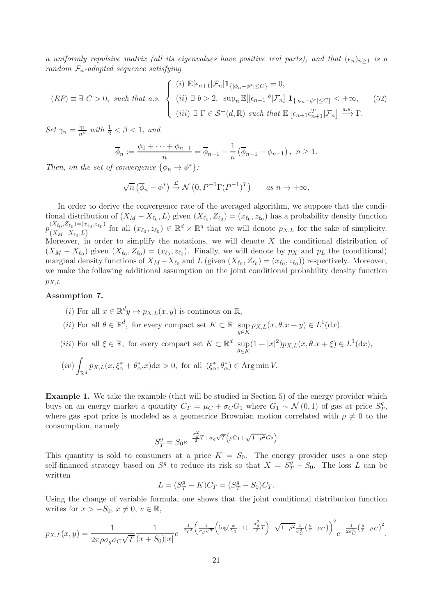a uniformly repulsive matrix (all its eigenvalues have positive real parts), and that  $(\epsilon_n)_{n>1}$  is a random  $\mathcal{F}_n$ -adapted sequence satisfying

$$
(RP) \equiv \exists C > 0, \text{ such that a.s.} \begin{cases} (i) \mathbb{E}[\epsilon_{n+1}|\mathcal{F}_n] \mathbf{1}_{\{|\phi_n - \phi^*| \le C\}} = 0, \\ (ii) \mathbb{E}[s_{n+1}|\mathcal{F}_n] \mathbf{1}_{\{|\phi_n - \phi^*| \le C\}} < +\infty, \\ (iii) \mathbb{E}[S_{n+1}|\mathcal{F}_n] \mathbf{1}_{\{|\phi_n - \phi^*| \le C\}} < +\infty, \\ (iv) \mathbb{E}[S_{n+1}|\mathcal{F}_n] \mathbf{1}_{\{|\phi_n - \phi^*| \le C\}} < +\infty, \end{cases} (52)
$$

Set  $\gamma_n = \frac{\gamma_1}{n^{\beta}}$  with  $\frac{1}{2} < \beta < 1$ , and

$$
\overline{\phi}_n := \frac{\phi_0 + \dots + \phi_{n-1}}{n} = \overline{\phi}_{n-1} - \frac{1}{n} \left( \overline{\phi}_{n-1} - \phi_{n-1} \right), \quad n \ge 1.
$$

Then, on the set of convergence  $\{\phi_n \to \phi^*\}$ :

$$
\sqrt{n} \left( \overline{\phi}_n - \phi^* \right) \stackrel{\mathcal{L}}{\rightarrow} \mathcal{N} \left( 0, P^{-1} \Gamma (P^{-1})^T \right) \quad \text{as } n \to +\infty,
$$

In order to derive the convergence rate of the averaged algorithm, we suppose that the conditional distribution of  $(X_M - X_{\ell_0}, L)$  given  $(X_{\ell_0}, Z_{\ell_0}) = (x_{\ell_0}, z_{\ell_0})$  has a probability density function  $p_{(X_{\ell_0},Z_{\ell_0})=(x_{\ell_0},z_{\ell_0})}^{(X_{\ell_0},Z_{\ell_0})=(x_{\ell_0},z_{\ell_0})}$  $(x_{\ell_0}, z_{\ell_0}) = (x_{\ell_0}, z_{\ell_0})$  for all  $(x_{\ell_0}, z_{\ell_0}) \in \mathbb{R}^d \times \mathbb{R}^q$  that we will denote  $p_{X,L}$  for the sake of simplicity. Moreover, in order to simplify the notations, we will denote X the conditional distribution of  $(X_M - X_{\ell_0})$  given  $(X_{\ell_0}, Z_{\ell_0}) = (x_{\ell_0}, z_{\ell_0})$ . Finally, we will denote by  $p_X$  and  $p_L$  the (conditional) marginal density functions of  $X_M - X_{\ell_0}$  and L (given  $(X_{\ell_0}, Z_{\ell_0}) = (x_{\ell_0}, z_{\ell_0})$ ) respectively. Moreover, we make the following additional assumption on the joint conditional probability density function  $p_{X,L}$ 

#### Assumption 7.

(*i*) For all  $x \in \mathbb{R}^d y \mapsto p_{X,L}(x, y)$  is continuus on  $\mathbb{R}$ , (*ii*) For all  $\theta \in \mathbb{R}^d$ , for every compact set  $K \subset \mathbb{R}$  sup  $p_{X,L}(x, \theta \cdot x + y) \in L^1(\mathrm{d}x)$ . (*iii*) For all  $\xi \in \mathbb{R}$ , for every compact set  $K \subset \mathbb{R}^d$  sup  $\sup_{\theta \in K} (1+|x|^2) p_{X,L}(x, \theta \cdot x + \xi) \in L^1(\mathrm{d}x),$  $(iv)$  $\int_{\mathbb{R}^d} p_{X,L}(x,\xi^*_{\alpha} + \theta^*_{\alpha}.x) dx > 0$ , for all  $(\xi^*_{\alpha}, \theta^*_{\alpha}) \in \text{Arg}\min V$ .

Example 1. We take the example (that will be studied in Section 5) of the energy provider which buys on an energy market a quantity  $C_T = \mu_C + \sigma_C G_1$  where  $G_1 \sim \mathcal{N}(0, 1)$  of gas at price  $S_T^g$  $_T^g,$ where gas spot price is modeled as a geometrice Brownian motion correlated with  $\rho \neq 0$  to the consumption, namely

$$
S_T^g = S_0 e^{-\frac{\sigma_g^2}{2}T + \sigma_g \sqrt{T} \left(\rho G_1 + \sqrt{1 - \rho^2} G_2\right)}
$$

This quantity is sold to consumers at a price  $K = S_0$ . The energy provider uses a one step self-financed strategy based on  $S^g$  to reduce its risk so that  $X = S_T^g - S_0$ . The loss L can be written

$$
L = (S_T^g - K)C_T = (S_T^g - S_0)C_T.
$$

Using the change of variable formula, one shows that the joint conditional distribution function writes for  $x > -S_0, x \neq 0, v \in \mathbb{R}$ ,

$$
p_{X,L}(x,y) = \frac{1}{2\pi\rho\sigma_g\sigma_C\sqrt{T}} \frac{1}{(x+S_0)|x|} e^{-\frac{1}{2\rho^2} \left(\frac{1}{\sigma_g\sqrt{T}} \left(\log(\frac{x}{S_0}+1) + \frac{\sigma_g^2}{2}T\right) - \sqrt{1-\rho^2} \frac{1}{\sigma_C^2} \left(\frac{y}{x}-\mu_C\right)\right)^2} e^{-\frac{1}{2\sigma_C^2} \left(\frac{y}{x}-\mu_C\right)^2}.
$$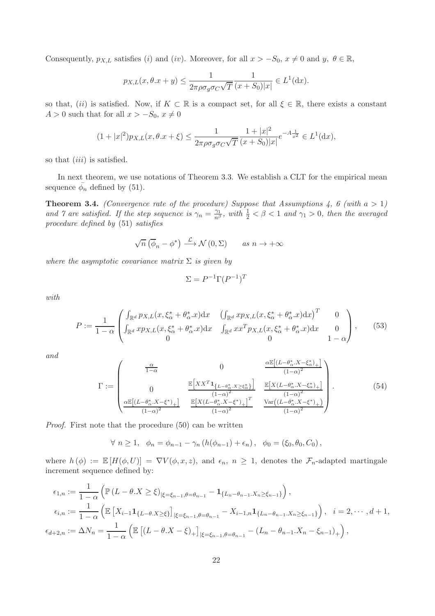Consequently,  $p_{X,L}$  satisfies (i) and (iv). Moreover, for all  $x > -S_0$ ,  $x \neq 0$  and  $y, \theta \in \mathbb{R}$ ,

$$
p_{X,L}(x, \theta \cdot x + y) \le \frac{1}{2\pi \rho \sigma_g \sigma_C \sqrt{T}} \frac{1}{(x + S_0)|x|} \in L^1(\mathrm{d}x).
$$

so that, (ii) is satisfied. Now, if  $K \subset \mathbb{R}$  is a compact set, for all  $\xi \in \mathbb{R}$ , there exists a constant  $A > 0$  such that for all  $x > -S_0, x \neq 0$ 

$$
(1+|x|^2)p_{X,L}(x,\theta.x+\xi) \le \frac{1}{2\pi\rho\sigma_g\sigma_C\sqrt{T}}\frac{1+|x|^2}{(x+S_0)|x|}e^{-A\frac{1}{x^2}} \in L^1(\mathrm{d}x),
$$

so that *(iii)* is satisfied.

In next theorem, we use notations of Theorem 3.3. We establish a CLT for the empirical mean sequence  $\bar{\phi}_n$  defined by (51).

**Theorem 3.4.** (Convergence rate of the procedure) Suppose that Assumptions 4, 6 (with  $a > 1$ ) and  $\gamma$  are satisfied. If the step sequence is  $\gamma_n = \frac{\gamma_1}{n^{\beta}}$ , with  $\frac{1}{2} < \beta < 1$  and  $\gamma_1 > 0$ , then the averaged procedure defined by (51) satisfies

$$
\sqrt{n} \left( \overline{\phi}_n - \phi^* \right) \xrightarrow{\mathcal{L}} \mathcal{N} \left( 0, \Sigma \right) \qquad \text{as } n \to +\infty
$$

where the asymptotic covariance matrix  $\Sigma$  is given by

$$
\Sigma = P^{-1}\Gamma(P^{-1})^T
$$

with

$$
P := \frac{1}{1 - \alpha} \begin{pmatrix} \int_{\mathbb{R}^d} p_{X,L}(x, \xi_{\alpha}^* + \theta_{\alpha}^* . x) dx & \left( \int_{\mathbb{R}^d} x p_{X,L}(x, \xi_{\alpha}^* + \theta_{\alpha}^* . x) dx \right)^T & 0 \\ \int_{\mathbb{R}^d} x p_{X,L}(x, \xi_{\alpha}^* + \theta_{\alpha}^* . x) dx & \int_{\mathbb{R}^d} x x^T p_{X,L}(x, \xi_{\alpha}^* + \theta_{\alpha}^* . x) dx & 0 \\ 0 & 0 & 1 - \alpha \end{pmatrix}, \qquad (53)
$$

and

$$
\Gamma := \begin{pmatrix} \frac{\alpha}{1-\alpha} & 0 & \frac{\alpha \mathbb{E}[(L-\theta_{\alpha}^{*}.X-\xi_{\alpha}^{*})_{+}]}{(1-\alpha)^{2}} \\ 0 & \frac{\mathbb{E}\left[XX^{T}\mathbf{1}_{\{L-\theta_{\alpha}^{*}.X\geq\xi_{\alpha}^{*}\}\right]}{(1-\alpha)^{2}} & \frac{\mathbb{E}[X(L-\theta_{\alpha}^{*}.X-\xi_{\alpha}^{*})_{+}]}{(1-\alpha)^{2}} \\ \frac{\alpha \mathbb{E}[(L-\theta_{\alpha}^{*}.X-\xi^{*})_{+}]}{(1-\alpha)^{2}} & \frac{\mathbb{E}[X(L-\theta_{\alpha}^{*}.X-\xi^{*})_{+}]}{(1-\alpha)^{2}} & \frac{\text{Var}((L-\theta_{\alpha}^{*}.X-\xi^{*})_{+})}{(1-\alpha)^{2}} \end{pmatrix}.
$$
 (54)

Proof. First note that the procedure (50) can be written

 $\forall n \geq 1, \phi_n = \phi_{n-1} - \gamma_n (h(\phi_{n-1}) + \epsilon_n), \phi_0 = (\xi_0, \theta_0, C_0),$ 

where  $h(\phi) := \mathbb{E}[H(\phi, U)] = \nabla V(\phi, x, z)$ , and  $\epsilon_n$ ,  $n \geq 1$ , denotes the  $\mathcal{F}_n$ -adapted martingale increment sequence defined by:

$$
\epsilon_{1,n} := \frac{1}{1-\alpha} \left( \mathbb{P} \left( L - \theta \cdot X \ge \xi \right)_{|\xi = \xi_{n-1}, \theta = \theta_{n-1}} - \mathbf{1}_{\{L_n - \theta_{n-1} \cdot X_n \ge \xi_{n-1}\}} \right),
$$
  
\n
$$
\epsilon_{i,n} := \frac{1}{1-\alpha} \left( \mathbb{E} \left[ X_{i-1} \mathbf{1}_{\{L-\theta \cdot X \ge \xi\}} \right]_{|\xi = \xi_{n-1}, \theta = \theta_{n-1}} - X_{i-1,n} \mathbf{1}_{\{L_n - \theta_{n-1} \cdot X_n \ge \xi_{n-1}\}} \right), \quad i = 2, \cdots, d+1,
$$
  
\n
$$
\epsilon_{d+2,n} := \Delta N_n = \frac{1}{1-\alpha} \left( \mathbb{E} \left[ (L - \theta \cdot X - \xi)_{+} \right]_{|\xi = \xi_{n-1}, \theta = \theta_{n-1}} - (L_n - \theta_{n-1} \cdot X_n - \xi_{n-1})_{+} \right),
$$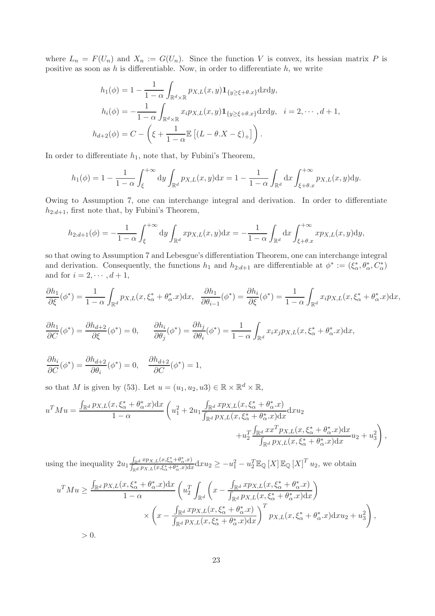where  $L_n = F(U_n)$  and  $X_n := G(U_n)$ . Since the function V is convex, its hessian matrix P is positive as soon as  $h$  is differentiable. Now, in order to differentiate  $h$ , we write

$$
h_1(\phi) = 1 - \frac{1}{1 - \alpha} \int_{\mathbb{R}^d \times \mathbb{R}} p_{X,L}(x, y) \mathbf{1}_{\{y \ge \xi + \theta, x\}} \mathrm{d}x \mathrm{d}y,
$$
  
\n
$$
h_i(\phi) = -\frac{1}{1 - \alpha} \int_{\mathbb{R}^d \times \mathbb{R}} x_i p_{X,L}(x, y) \mathbf{1}_{\{y \ge \xi + \theta, x\}} \mathrm{d}x \mathrm{d}y, \quad i = 2, \cdots, d + 1,
$$
  
\n
$$
h_{d+2}(\phi) = C - \left(\xi + \frac{1}{1 - \alpha} \mathbb{E}\left[ (L - \theta, X - \xi)_{+} \right] \right).
$$

In order to differentiate  $h_1$ , note that, by Fubini's Theorem,

$$
h_1(\phi) = 1 - \frac{1}{1-\alpha} \int_{\xi}^{+\infty} dy \int_{\mathbb{R}^d} p_{X,L}(x,y) dx = 1 - \frac{1}{1-\alpha} \int_{\mathbb{R}^d} dx \int_{\xi+\theta,x}^{+\infty} p_{X,L}(x,y) dy.
$$

Owing to Assumption 7, one can interchange integral and derivation. In order to differentiate  $h_{2:d+1}$ , first note that, by Fubini's Theorem,

$$
h_{2:d+1}(\phi) = -\frac{1}{1-\alpha} \int_{\xi}^{+\infty} dy \int_{\mathbb{R}^d} x p_{X,L}(x,y) dx = -\frac{1}{1-\alpha} \int_{\mathbb{R}^d} dx \int_{\xi+\theta.x}^{+\infty} x p_{X,L}(x,y) dy,
$$

so that owing to Assumption 7 and Lebesgue's differentiation Theorem, one can interchange integral and derivation. Consequently, the functions  $h_1$  and  $h_{2:d+1}$  are differentiable at  $\phi^* := (\xi^*_\alpha, \theta^*_\alpha, C^*_\alpha)$ and for  $i = 2, \dots, d + 1$ ,

$$
\frac{\partial h_1}{\partial \xi}(\phi^*) = \frac{1}{1-\alpha} \int_{\mathbb{R}^d} p_{X,L}(x,\xi^*_{\alpha} + \theta^*_{\alpha}.x) dx, \quad \frac{\partial h_1}{\partial \theta_{i-1}}(\phi^*) = \frac{\partial h_i}{\partial \xi}(\phi^*) = \frac{1}{1-\alpha} \int_{\mathbb{R}^d} x_i p_{X,L}(x,\xi^*_{\alpha} + \theta^*_{\alpha}.x) dx,
$$

$$
\frac{\partial h_1}{\partial C}(\phi^*) = \frac{\partial h_{d+2}}{\partial \xi}(\phi^*) = 0, \qquad \frac{\partial h_i}{\partial \theta_j}(\phi^*) = \frac{\partial h_j}{\partial \theta_i}(\phi^*) = \frac{1}{1 - \alpha} \int_{\mathbb{R}^d} x_i x_j p_{X,L}(x, \xi^*_{\alpha} + \theta^*_{\alpha}.x) dx,
$$

$$
\frac{\partial h_i}{\partial C}(\phi^*) = \frac{\partial h_{d+2}}{\partial \theta_i}(\phi^*) = 0, \quad \frac{\partial h_{d+2}}{\partial C}(\phi^*) = 1,
$$

so that M is given by (53). Let  $u = (u_1, u_2, u_3) \in \mathbb{R} \times \mathbb{R}^d \times \mathbb{R}$ ,

$$
u^{T}Mu = \frac{\int_{\mathbb{R}^{d}} p_{X,L}(x,\xi_{\alpha}^{*} + \theta_{\alpha}^{*}.x)dx}{1-\alpha} \left(u_{1}^{2} + 2u_{1} \frac{\int_{\mathbb{R}^{d}} xp_{X,L}(x,\xi_{\alpha}^{*} + \theta_{\alpha}^{*}.x)}{ \int_{\mathbb{R}^{d}} p_{X,L}(x,\xi_{\alpha}^{*} + \theta_{\alpha}^{*}.x)dx}dxu_{2} + u_{2}^{T} \frac{\int_{\mathbb{R}^{d}} x x^{T} p_{X,L}(x,\xi_{\alpha}^{*} + \theta_{\alpha}^{*}.x)dx}{\int_{\mathbb{R}^{d}} p_{X,L}(x,\xi_{\alpha}^{*} + \theta_{\alpha}^{*}.x)dx}u_{2} + u_{3}^{2}\right),
$$

using the inequality  $2u_1 \frac{\int_{\mathbb{R}^d} x p_{X,L}(x,\xi^*_{\alpha}+\theta^*_{\alpha},x)}{\int_{\mathbb{R}^d} n_{X,L}(x,\xi^*_{\alpha}+\theta^*_{\alpha},x)dx}$  $\int_{\mathbb{R}^d} \frac{d}{\mathcal{P}X, L(x,\xi_{\alpha}^*+\theta_{\alpha}^*,x)} \, dx \, dy \geq -u_1^2 - u_2^T \mathbb{E}_{\mathbb{Q}}[X] \mathbb{E}_{\mathbb{Q}}[X]^T u_2$ , we obtain

$$
u^T Mu \ge \frac{\int_{\mathbb{R}^d} p_{X,L}(x,\xi^*_{\alpha} + \theta^*_{\alpha}.x) dx}{1 - \alpha} \left( u_2^T \int_{\mathbb{R}^d} \left( x - \frac{\int_{\mathbb{R}^d} x p_{X,L}(x,\xi^*_{\alpha} + \theta^*_{\alpha}.x)}{\int_{\mathbb{R}^d} p_{X,L}(x,\xi^*_{\alpha} + \theta^*_{\alpha}.x) dx} \right) \times \left( x - \frac{\int_{\mathbb{R}^d} x p_{X,L}(x,\xi^*_{\alpha} + \theta^*_{\alpha}.x)}{\int_{\mathbb{R}^d} p_{X,L}(x,\xi^*_{\alpha} + \theta^*_{\alpha}.x) dx} \right)^T p_{X,L}(x,\xi^*_{\alpha} + \theta^*_{\alpha}.x) dx u_2 + u_3^2 \right),
$$

 $> 0.$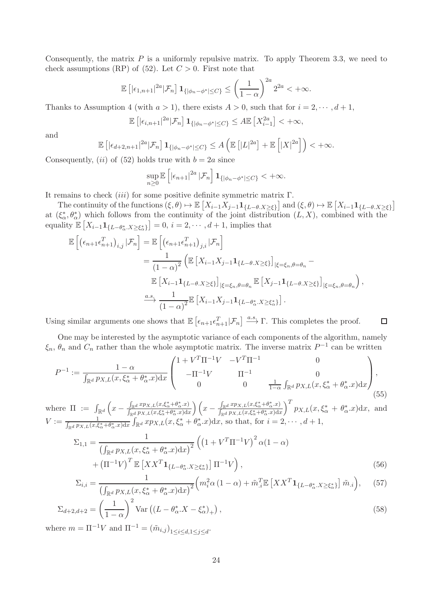Consequently, the matrix  $P$  is a uniformly repulsive matrix. To apply Theorem 3.3, we need to check assumptions (RP) of (52). Let  $C > 0$ . First note that

$$
\mathbb{E}\left[|\epsilon_{1,n+1}|^{2a}|\mathcal{F}_n\right]1_{\{|\phi_n-\phi^*|\leq C\}} \leq \left(\frac{1}{1-\alpha}\right)^{2a}2^{2a} < +\infty.
$$

Thanks to Assumption 4 (with  $a > 1$ ), there exists  $A > 0$ , such that for  $i = 2, \dots, d + 1$ ,

$$
\mathbb{E}\left[|\epsilon_{i,n+1}|^{2a}|\mathcal{F}_n\right]1_{\{|\phi_n-\phi^*|\leq C\}} \leq A \mathbb{E}\left[X_{i-1}^{2a}\right] < +\infty,
$$

and

$$
\mathbb{E}\left[\left|\epsilon_{d+2,n+1}\right|^{2a}|\mathcal{F}_n\right]1_{\{|\phi_n-\phi^*|\leq C\}} \leq A\left(\mathbb{E}\left[|L|^{2a}\right]+\mathbb{E}\left[|X|^{2a}\right]\right) < +\infty.
$$

Consequently, (*ii*) of (52) holds true with  $b = 2a$  since

$$
\sup_{n\geq 0}\mathbb{E}\left[\left|\epsilon_{n+1}\right|^{2a}|\mathcal{F}_n\right]\mathbf{1}_{\{\left|\phi_n-\phi^*\right|\leq C\}}<+\infty.
$$

It remains to check  $(iii)$  for some positive definite symmetric matrix Γ.

The continuity of the functions  $(\xi, \theta) \mapsto \mathbb{E}\left[X_{i-1}X_{j-1}\mathbf{1}_{\{L-\theta,X\geq\xi\}}\right]$  and  $(\xi, \theta) \mapsto \mathbb{E}\left[X_{i-1}\mathbf{1}_{\{L-\theta,X\geq\xi\}}\right]$ at  $(\xi^*, \theta^*_{\alpha})$  which follows from the continuity of the joint distribution  $(L, X)$ , combined with the equality  $\mathbb{E}\left[X_{i-1}\mathbf{1}_{\{L-\theta^*_{\alpha} \cdot X \geq \xi^*_{\alpha}\}}\right] = 0, i = 2, \cdots, d+1$ , implies that

$$
\mathbb{E}\left[\left(\epsilon_{n+1}\epsilon_{n+1}^T\right)_{i,j}|\mathcal{F}_n\right] = \mathbb{E}\left[\left(\epsilon_{n+1}\epsilon_{n+1}^T\right)_{j,i}|\mathcal{F}_n\right]
$$
  
\n
$$
= \frac{1}{(1-\alpha)^2}\left(\mathbb{E}\left[X_{i-1}X_{j-1}\mathbf{1}_{\{L-\theta.X\geq\xi\}}\right]_{|\xi=\xi_n,\theta=\theta_n} - \frac{1}{\mathbb{E}\left[X_{i-1}\mathbf{1}_{\{L-\theta.X\geq\xi\}}\right]_{|\xi=\xi_n,\theta=\theta_n} \mathbb{E}\left[X_{j-1}\mathbf{1}_{\{L-\theta.X\geq\xi\}}\right]_{|\xi=\xi_n,\theta=\theta_n}\right),
$$
  
\n
$$
\xrightarrow{a.s.} \frac{1}{(1-\alpha)^2}\mathbb{E}\left[X_{i-1}X_{j-1}\mathbf{1}_{\{L-\theta_\alpha^*,X\geq\xi_\alpha^*\}}\right].
$$

Using similar arguments one shows that  $\mathbb{E}\left[\epsilon_{n+1}\epsilon_{n+1}^T|\mathcal{F}_n\right] \stackrel{a.s.}{\longrightarrow} \Gamma$ . This completes the proof.  $\Box$ 

One may be interested by the asymptotic variance of each components of the algorithm, namely  $\xi_n$ ,  $\theta_n$  and  $C_n$  rather than the whole asymptotic matrix. The inverse matrix  $P^{-1}$  can be written

$$
P^{-1} := \frac{1 - \alpha}{\int_{\mathbb{R}^d} p_{X,L}(x, \xi_\alpha^* + \theta_\alpha^*.x) dx} \begin{pmatrix} 1 + V^T \Pi^{-1} V & -V^T \Pi^{-1} & 0 \\ -\Pi^{-1} V & \Pi^{-1} & 0 \\ 0 & 0 & \frac{1}{1 - \alpha} \int_{\mathbb{R}^d} p_{X,L}(x, \xi_\alpha^* + \theta_\alpha^*.x) dx \end{pmatrix},
$$
(55)

where  $\Pi := \int_{\mathbb{R}^d} \left( x - \frac{\int_{\mathbb{R}^d} x p_{X,L}(x,\xi^*_\alpha + \theta^*_\alpha.x)}{\int_{\mathbb{R}^d} p_{X,L}(x,\xi^*_\alpha + \theta^*_\alpha.x)} \right)$  $\frac{\int_{\mathbb{R}^d} x p_{X,L}(x,\xi^*_{\alpha}+\theta^*_{\alpha}.x)}{\int_{\mathbb{R}^d} p_{X,L}(x,\xi^*_{\alpha}+\theta^*_{\alpha}.x) \mathrm{d}x} \bigg) \left( x - \frac{\int_{\mathbb{R}^d} x p_{X,L}(x,\xi^*_{\alpha}+\theta^*_{\alpha}.x)}{\int_{\mathbb{R}^d} p_{X,L}(x,\xi^*_{\alpha}+\theta^*_{\alpha}.x) \mathrm{d}x} \right)$  $\int_{\mathbb{R}^d} p_{X,L}(x,\xi^*_{\alpha}+\theta^*_{\alpha}.x) \mathrm{d}x$  $\int^T p_{X,L}(x,\xi^*_\alpha + \theta^*_\alpha.x)dx$ , and  $V := \frac{1}{\int_{\mathbb{R}^d} p_{X,L}(x,\xi_\alpha^*+\theta_\alpha^*x)dx} \int_{\mathbb{R}^d} xp_{X,L}(x,\xi_\alpha^*+\theta_\alpha^*x)dx$ , so that, for  $i=2,\cdots,d+1$ ,

$$
\Sigma_{1,1} = \frac{1}{\left(\int_{\mathbb{R}^d} p_{X,L}(x,\xi_\alpha^* + \theta_\alpha^*,x)dx\right)^2} \left(\left(1 + V^T \Pi^{-1} V\right)^2 \alpha (1 - \alpha) + \left(\Pi^{-1} V\right)^T \mathbb{E}\left[XX^T \mathbf{1}_{\{L - \theta_\alpha^*, X \ge \xi_\alpha^*\}}\right] \Pi^{-1} V\right),\tag{56}
$$

$$
\Sigma_{i,i} = \frac{1}{\left(\int_{\mathbb{R}^d} p_{X,L}(x,\xi^*_{\alpha} + \theta^*_{\alpha}.x)dx\right)^2} \left(m_i^2 \alpha \left(1 - \alpha\right) + \tilde{m}_i^T \mathbb{E}\left[XX^T \mathbf{1}_{\{L - \theta^*_{\alpha}.X \ge \xi^*_{\alpha}\}}\right] \tilde{m}_i\right),\tag{57}
$$

$$
\Sigma_{d+2,d+2} = \left(\frac{1}{1-\alpha}\right)^2 \text{Var}\left((L-\theta_{\alpha}^*X-\xi_{\alpha}^*)_{+}\right),\tag{58}
$$

where  $m = \Pi^{-1}V$  and  $\Pi^{-1} = (\tilde{m}_{i,j})_{1 \leq i \leq d, 1 \leq j \leq d}$ .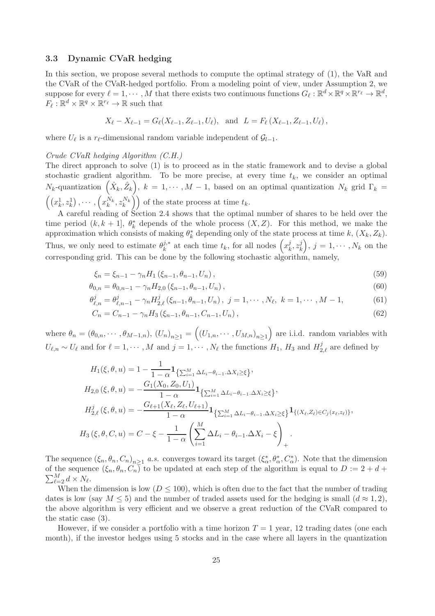#### 3.3 Dynamic CVaR hedging

In this section, we propose several methods to compute the optimal strategy of (1), the VaR and the CVaR of the CVaR-hedged portfolio. From a modeling point of view, under Assumption 2, we suppose for every  $\ell = 1, \dots, M$  that there exists two continuous functions  $G_{\ell}: \mathbb{R}^{d} \times \mathbb{R}^{q} \times \mathbb{R}^{r_{\ell}} \to \mathbb{R}^{d}$ ,  $F_{\ell}: \mathbb{R}^d \times \mathbb{R}^q \times \mathbb{R}^{r_{\ell}} \to \mathbb{R}$  such that

$$
X_{\ell} - X_{\ell-1} = G_{\ell}(X_{\ell-1}, Z_{\ell-1}, U_{\ell}), \text{ and } L = F_{\ell}(X_{\ell-1}, Z_{\ell-1}, U_{\ell}),
$$

where  $U_{\ell}$  is a  $r_{\ell}$ -dimensional random variable independent of  $\mathcal{G}_{l-1}$ .

#### Crude CVaR hedging Algorithm (C.H.)

The direct approach to solve (1) is to proceed as in the static framework and to devise a global stochastic gradient algorithm. To be more precise, at every time  $t_k$ , we consider an optimal  $N_k$ -quantization  $(\hat{X}_k, \hat{Z}_k), k = 1, \cdots, M-1$ , based on an optimal quantization  $N_k$  grid  $\Gamma_k =$  $((x_k^1, z_k^1), \cdots, (x_k^{N_k}, z_k^{N_k}))$  of the state process at time  $t_k$ .

A careful reading of Section 2.4 shows that the optimal number of shares to be held over the time period  $(k, k + 1]$ ,  $\theta_k^*$  depends of the whole process  $(X, Z)$ . For this method, we make the approximation which consists of making  $\theta_k^*$  depending only of the state process at time k,  $(X_k, Z_k)$ . Thus, we only need to estimate  $\theta_k^{j,*}$  at each time  $t_k$ , for all nodes  $\left(x_k^j\right)$  $\frac{j}{k}, z_k^j$  $\binom{j}{k}, j = 1, \cdots, N_k$  on the corresponding grid. This can be done by the following stochastic algorithm, namely,

$$
\xi_n = \xi_{n-1} - \gamma_n H_1(\xi_{n-1}, \theta_{n-1}, U_n), \tag{59}
$$

$$
\theta_{0,n} = \theta_{0,n-1} - \gamma_n H_{2,0} (\xi_{n-1}, \theta_{n-1}, U_n), \qquad (60)
$$

$$
\theta_{\ell,n}^j = \theta_{\ell,n-1}^j - \gamma_n H_{2,\ell}^j(\xi_{n-1}, \theta_{n-1}, U_n), \ j = 1, \cdots, N_\ell, \ k = 1, \cdots, M-1,\tag{61}
$$

$$
C_n = C_{n-1} - \gamma_n H_3(\xi_{n-1}, \theta_{n-1}, C_{n-1}, U_n), \qquad (62)
$$

where  $\theta_n = (\theta_{0,n}, \dots, \theta_{M-1,n}), (U_n)_{n \geq 1} = ((U_{1,n}, \dots, U_{M,n})_{n \geq 1})$  are i.i.d. random variables with  $U_{\ell,n} \sim U_{\ell}$  and for  $\ell = 1, \cdots, M$  and  $j = 1, \cdots, N_{\ell}$  the functions  $H_1$ ,  $H_3$  and  $H_{2,\ell}^j$  are defined by

$$
H_{1}(\xi, \theta, u) = 1 - \frac{1}{1 - \alpha} \mathbf{1}_{\{\sum_{i=1}^{M} \Delta L_{i} - \theta_{i-1} \cdot \Delta X_{i} \ge \xi\}},
$$
  
\n
$$
H_{2,0}(\xi, \theta, u) = -\frac{G_{1}(X_{0}, Z_{0}, U_{1})}{1 - \alpha} \mathbf{1}_{\{\sum_{i=1}^{M} \Delta L_{i} - \theta_{i-1} \cdot \Delta X_{i} \ge \xi\}},
$$
  
\n
$$
H_{2,\ell}^{j}(\xi, \theta, u) = -\frac{G_{\ell+1}(X_{\ell}, Z_{\ell}, U_{\ell+1})}{1 - \alpha} \mathbf{1}_{\{\sum_{i=1}^{M} \Delta L_{i} - \theta_{i-1} \cdot \Delta X_{i} \ge \xi\}} \mathbf{1}_{\{(X_{\ell}, Z_{\ell}) \in C_{j}(x_{\ell}, z_{\ell})\}},
$$
  
\n
$$
H_{3}(\xi, \theta, C, u) = C - \xi - \frac{1}{1 - \alpha} \left( \sum_{i=1}^{M} \Delta L_{i} - \theta_{i-1} \cdot \Delta X_{i} - \xi \right)_{+}.
$$

The sequence  $(\xi_n, \theta_n, C_n)_{n \geq 1}$  a.s. converges toward its target  $(\xi_\alpha^*, \theta_\alpha^*, C_\alpha^*)$ . Note that the dimension  $\sum_{\ell=2}^{M} d \times N_{\ell}.$ of the sequence  $(\xi_n, \theta_n, C_n)$  to be updated at each step of the algorithm is equal to  $D := 2 + d +$ 

When the dimension is low  $(D \leq 100)$ , which is often due to the fact that the number of trading dates is low (say  $M \leq 5$ ) and the number of traded assets used for the hedging is small  $(d \approx 1, 2)$ , the above algorithm is very efficient and we observe a great reduction of the CVaR compared to the static case (3).

However, if we consider a portfolio with a time horizon  $T = 1$  year, 12 trading dates (one each month), if the investor hedges using 5 stocks and in the case where all layers in the quantization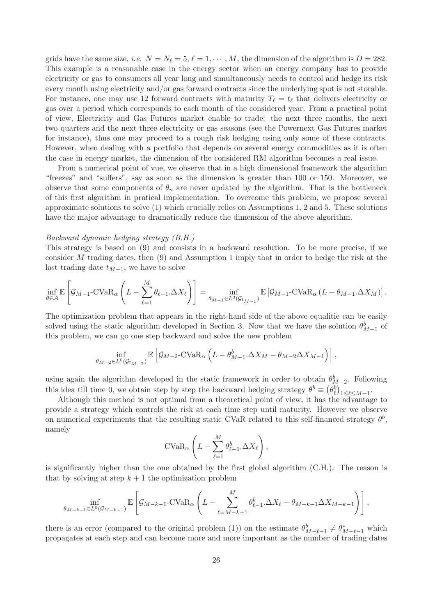grids have the same size, *i.e.*  $N = N_{\ell} = 5, \ell = 1, \cdots, M$ , the dimension of the algorithm is  $D = 282$ . This example is a reasonable case in the energy sector when an energy company has to provide electricity or gas to consumers all year long and simultaneously needs to control and hedge its risk every month using electricity and/or gas forward contracts since the underlying spot is not storable. For instance, one may use 12 forward contracts with maturity  $T_{\ell} = t_{\ell}$  that delivers electricity or gas over a period which corresponds to each month of the considered year. From a practical point of view, Electricity and Gas Futures market enable to trade: the next three months, the next two quarters and the next three electricity or gas seasons (see the Powernext Gas Futures market for instance), thus one may proceed to a rough risk hedging using only some of these contracts. However, when dealing with a portfolio that depends on several energy commodities as it is often the case in energy market, the dimension of the considered RM algorithm becomes a real issue.

From a numerical point of vue, we observe that in a high dimensional framework the algorithm "freezes" and "suffers", say as soon as the dimension is greater than 100 or 150. Moreover, we observe that some components of  $\theta_n$  are never updated by the algorithm. That is the bottleneck of this first algorithm in pratical implementation. To overcome this problem, we propose several approximate solutions to solve (1) which crucially relies on Assumptions 1, 2 and 5. These solutions have the major advantage to dramatically reduce the dimension of the above algorithm.

#### Backward dynamic hedging strategy (B.H.)

This strategy is based on (9) and consists in a backward resolution. To be more precise, if we consider M trading dates, then (9) and Assumption 1 imply that in order to hedge the risk at the last trading date  $t_{M-1}$ , we have to solve

$$
\inf_{\theta \in \mathcal{A}} \mathbb{E}\left[\mathcal{G}_{M-1}\text{-CVaR}_{\alpha}\left(L - \sum_{\ell=1}^{M} \theta_{\ell-1}.\Delta X_{\ell}\right)\right] = \inf_{\theta_{M-1} \in L^{0}(\mathcal{G}_{t_{M-1}})} \mathbb{E}\left[\mathcal{G}_{M-1}\text{-CVaR}_{\alpha}\left(L - \theta_{M-1}.\Delta X_{M}\right)\right].
$$

The optimization problem that appears in the right-hand side of the above equalitie can be easily solved using the static algorithm developed in Section 3. Now that we have the solution  $\theta_{M-1}^b$  of this problem, we can go one step backward and solve the new problem

$$
\inf_{\theta_{M-2}\in L^{0}(\mathcal{G}_{t_{M-2}})} \mathbb{E}\left[\mathcal{G}_{M-2}\text{-CVaR}_{\alpha}\left(L-\theta_{M-1}^{b}\Delta X_{M}-\theta_{M-2}\Delta X_{M-1}\right)\right],
$$

using again the algorithm developed in the static framework in order to obtain  $\theta_{M-2}^b$ . Following  $M-2$ this idea till time 0, we obtain step by step the backward hedging strategy  $\theta^b \equiv (\theta^b_\ell)_{1 \leq \ell \leq M-1}$ .

Although this method is not optimal from a theoretical point of view, it has the  $\overrightarrow{advantage}$  to provide a strategy which controls the risk at each time step until maturity. However we observe on numerical experiments that the resulting static CVaR related to this self-financed strategy  $\theta^b$ , namely

$$
\text{CVaR}_{\alpha} \left( L - \sum_{\ell=1}^{M} \theta_{\ell-1}^{b} \Delta X_{\ell} \right),
$$

is significantly higher than the one obtained by the first global algorithm (C.H.). The reason is that by solving at step  $k+1$  the optimization problem

$$
\inf_{\theta_{M-k-1}\in L^0(\mathcal{G}_{M-k-1})} \mathbb{E}\left[\mathcal{G}_{M-k-1}\text{-CVaR}_{\alpha}\left(L-\sum_{\ell=M-k+1}^M \theta_{\ell-1}^b \Delta X_{\ell} - \theta_{M-k-1}\Delta X_{M-k-1}\right)\right],
$$

there is an error (compared to the original problem (1)) on the estimate  $\theta_{M-\ell-1}^b \neq \theta_{M-\ell-1}^*$  which propagates at each step and can become more and more important as the number of trading dates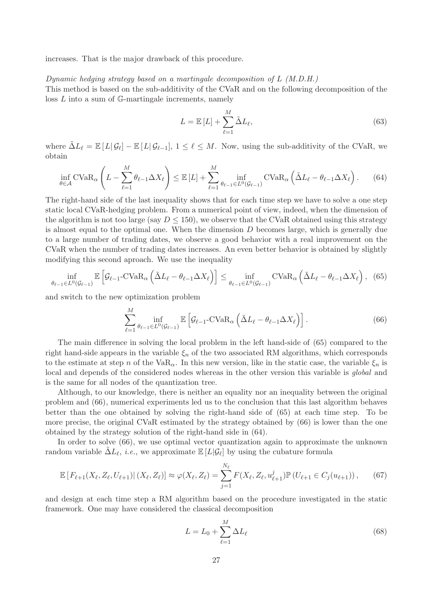increases. That is the major drawback of this procedure.

#### Dynamic hedging strategy based on a martingale decomposition of  $L(M.D.H.)$

This method is based on the sub-additivity of the CVaR and on the following decomposition of the loss L into a sum of G-martingale increments, namely

$$
L = \mathbb{E}\left[L\right] + \sum_{\ell=1}^{M} \tilde{\Delta} L_{\ell},\tag{63}
$$

where  $\tilde{\Delta}L_{\ell} = \mathbb{E}[L|\mathcal{G}_{\ell}] - \mathbb{E}[L|\mathcal{G}_{\ell-1}], 1 \leq \ell \leq M$ . Now, using the sub-additivity of the CVaR, we obtain

$$
\inf_{\theta \in \mathcal{A}} \text{CVaR}_{\alpha} \left( L - \sum_{\ell=1}^{M} \theta_{\ell-1} \Delta X_{\ell} \right) \leq \mathbb{E} \left[ L \right] + \sum_{\ell=1}^{M} \inf_{\theta_{\ell-1} \in L^{0}(\mathcal{G}_{\ell-1})} \text{CVaR}_{\alpha} \left( \tilde{\Delta} L_{\ell} - \theta_{\ell-1} \Delta X_{\ell} \right). \tag{64}
$$

The right-hand side of the last inequality shows that for each time step we have to solve a one step static local CVaR-hedging problem. From a numerical point of view, indeed, when the dimension of the algorithm is not too large (say  $D \le 150$ ), we observe that the CVaR obtained using this strategy is almost equal to the optimal one. When the dimension  $D$  becomes large, which is generally due to a large number of trading dates, we observe a good behavior with a real improvement on the CVaR when the number of trading dates increases. An even better behavior is obtained by slightly modifying this second aproach. We use the inequality

$$
\inf_{\theta_{\ell-1}\in L^0(\mathcal{G}_{\ell-1})} \mathbb{E}\left[\mathcal{G}_{\ell-1}\text{-CVaR}_{\alpha}\left(\tilde{\Delta}L_{\ell} - \theta_{\ell-1}\Delta X_{\ell}\right)\right] \leq \inf_{\theta_{\ell-1}\in L^0(\mathcal{G}_{\ell-1})} \text{CVaR}_{\alpha}\left(\tilde{\Delta}L_{\ell} - \theta_{\ell-1}\Delta X_{\ell}\right),\tag{65}
$$

and switch to the new optimization problem

$$
\sum_{\ell=1}^{M} \inf_{\theta_{\ell-1} \in L^0(\mathcal{G}_{\ell-1})} \mathbb{E}\left[\mathcal{G}_{\ell-1} - \text{CVaR}_{\alpha}\left(\tilde{\Delta}L_{\ell} - \theta_{\ell-1}\Delta X_{\ell}\right)\right].
$$
\n(66)

The main difference in solving the local problem in the left hand-side of (65) compared to the right hand-side appears in the variable  $\xi_n$  of the two associated RM algorithms, which corresponds to the estimate at step n of the VaR<sub>α</sub>. In this new version, like in the static case, the variable  $\xi_n$  is local and depends of the considered nodes whereas in the other version this variable is *qlobal* and is the same for all nodes of the quantization tree.

Although, to our knowledge, there is neither an equality nor an inequality between the original problem and (66), numerical experiments led us to the conclusion that this last algorithm behaves better than the one obtained by solving the right-hand side of (65) at each time step. To be more precise, the original CVaR estimated by the strategy obtained by (66) is lower than the one obtained by the strategy solution of the right-hand side in (64).

In order to solve (66), we use optimal vector quantization again to approximate the unknown random variable  $\tilde{\Delta}L_{\ell}$ , *i.e.*, we approximate  $\mathbb{E}[L|\mathcal{G}_{\ell}]$  by using the cubature formula

$$
\mathbb{E}\left[F_{\ell+1}(X_{\ell}, Z_{\ell}, U_{\ell+1})\right](X_{\ell}, Z_{\ell})\right] \approx \varphi(X_{\ell}, Z_{\ell}) = \sum_{j=1}^{N_{\ell}} F(X_{\ell}, Z_{\ell}, u_{\ell+1}^{j}) \mathbb{P}\left(U_{\ell+1} \in C_{j}(u_{\ell+1})\right),\tag{67}
$$

and design at each time step a RM algorithm based on the procedure investigated in the static framework. One may have considered the classical decomposition

$$
L = L_0 + \sum_{\ell=1}^{M} \Delta L_{\ell} \tag{68}
$$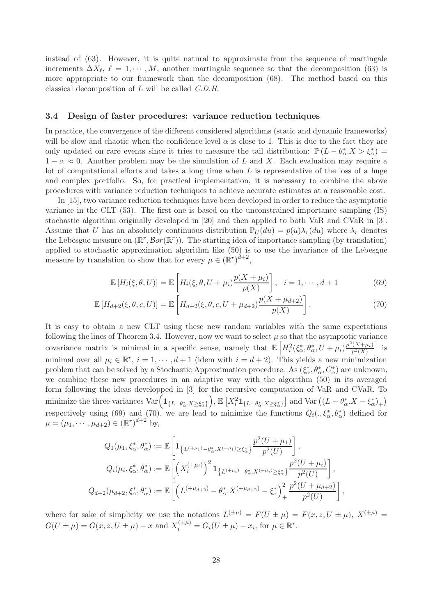instead of (63). However, it is quite natural to approximate from the sequence of martingale increments  $\Delta X_{\ell}$ ,  $\ell = 1, \cdots, M$ , another martingale sequence so that the decomposition (63) is more appropriate to our framework than the decomposition (68). The method based on this classical decomposition of L will be called C.D.H.

#### 3.4 Design of faster procedures: variance reduction techniques

In practice, the convergence of the different considered algorithms (static and dynamic frameworks) will be slow and chaotic when the confidence level  $\alpha$  is close to 1. This is due to the fact they are only updated on rare events since it tries to measure the tail distribution:  $\mathbb{P}(L-\theta_{\alpha}^*X>\xi_{\alpha}^*)=$  $1 - \alpha \approx 0$ . Another problem may be the simulation of L and X. Each evaluation may require a lot of computational efforts and takes a long time when  $L$  is representative of the loss of a huge and complex portfolio. So, for practical implementation, it is necessary to combine the above procedures with variance reduction techniques to achieve accurate estimates at a reasonable cost.

In [15], two variance reduction techniques have been developed in order to reduce the asymptotic variance in the CLT (53). The first one is based on the unconstrained importance sampling (IS) stochastic algorithm originally developed in [20] and then applied to both VaR and CVaR in [3]. Assume that U has an absolutely continuous distribution  $\mathbb{P}_U(du) = p(u)\lambda_r(du)$  where  $\lambda_r$  denotes the Lebesgue measure on  $(\mathbb{R}^r, \mathcal{B}or(\mathbb{R}^r))$ . The starting idea of importance sampling (by translation) applied to stochastic approximation algorithm like (50) is to use the invariance of the Lebesgue measure by translation to show that for every  $\mu \in (\mathbb{R}^r)^{d+2}$ ,

$$
\mathbb{E}\left[H_i(\xi,\theta,U)\right] = \mathbb{E}\left[H_i(\xi,\theta,U+\mu_i)\frac{p(X+\mu_i)}{p(X)}\right], \quad i=1,\cdots,d+1
$$
\n(69)

$$
\mathbb{E}\left[H_{d+2}(\xi,\theta,c,U)\right] = \mathbb{E}\left[H_{d+2}(\xi,\theta,c,U+\mu_{d+2})\frac{p(X+\mu_{d+2})}{p(X)}\right].
$$
\n(70)

It is easy to obtain a new CLT using these new random variables with the same expectations following the lines of Theorem 3.4. However, now we want to select  $\mu$  so that the asymptotic variance covariance matrix is minimal in a specific sense, namely that  $\mathbb{E}\left[H_i^2(\xi_\alpha^*,\theta_\alpha^*,U+\mu_i)\frac{p^2(X+\mu_i)}{p^2(X)}\right]$  $p^2(X)$ i is minimal over all  $\mu_i \in \mathbb{R}^r$ ,  $i = 1, \dots, d+1$  (idem with  $i = d+2$ ). This yields a new minimization problem that can be solved by a Stochastic Approximation procedure. As  $(\xi^*_\alpha, \theta^*_\alpha, C^*_\alpha)$  are unknown, we combine these new procedures in an adaptive way with the algorithm (50) in its averaged form following the ideas developped in [3] for the recursive computation of VaR and CVaR. To minimize the three variances  $\text{Var} \left( \mathbf{1}_{\{L-\theta^*_\alpha . X \geq \xi^*_\alpha\}} \right)$  $\left( \sum_{i=1}^{\infty} \mathbb{1}_{\{L-\theta_{\alpha}^{*}.X\geq\xi_{\alpha}^{*}\}}\right]$  and Var  $((L-\theta_{\alpha}^{*}.X-\xi_{\alpha}^{*})_{+})$ respectively using (69) and (70), we are lead to minimize the functions  $Q_i(.,\xi^*_\alpha,\theta^*_\alpha)$  defined for  $\mu = (\mu_1, \cdots, \mu_{d+2}) \in (\mathbb{R}^r)^{d+2}$  by,

$$
Q_1(\mu_1, \xi_\alpha^*, \theta_\alpha^*) := \mathbb{E}\left[\mathbf{1}_{\{L^{(+\mu_1)} - \theta_\alpha^*, X^{(+\mu_1)} \ge \xi_\alpha^*\}} \frac{p^2(U + \mu_1)}{p^2(U)}\right],
$$
  
\n
$$
Q_i(\mu_i, \xi_\alpha^*, \theta_\alpha^*) := \mathbb{E}\left[\left(X_i^{(+\mu_i)}\right)^2 \mathbf{1}_{\{L^{(+\mu_i)} - \theta_\alpha^*, X^{(+\mu_i)} \ge \xi_\alpha^*\}} \frac{p^2(U + \mu_i)}{p^2(U)}\right],
$$
  
\n
$$
Q_{d+2}(\mu_{d+2}, \xi_\alpha^*, \theta_\alpha^*) := \mathbb{E}\left[\left(L^{(+\mu_{d+2})} - \theta_\alpha^*, X^{(+\mu_{d+2})} - \xi_\alpha^*\right)_+^2 \frac{p^2(U + \mu_{d+2})}{p^2(U)}\right],
$$

where for sake of simplicity we use the notations  $L^{(\pm \mu)} = F(U \pm \mu) = F(x, z, U \pm \mu)$ ,  $X^{(\pm \mu)} =$  $G(U \pm \mu) = G(x, z, U \pm \mu) - x$  and  $X_i^{(\pm \mu)} = G_i(U \pm \mu) - x_i$ , for  $\mu \in \mathbb{R}^r$ .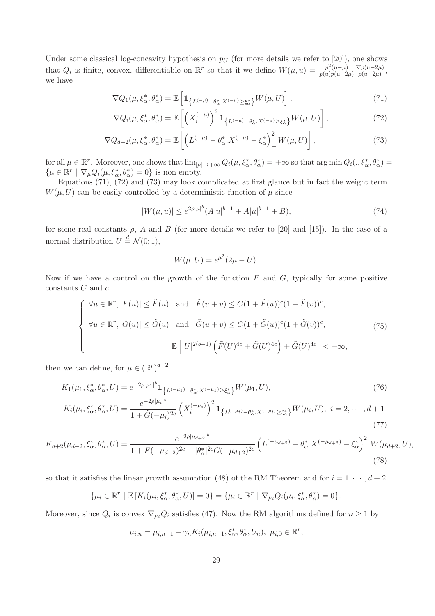Under some classical log-concavity hypothesis on  $p_U$  (for more details we refer to [20]), one shows that  $Q_i$  is finite, convex, differentiable on  $\mathbb{R}^r$  so that if we define  $W(\mu, u) = \frac{p^2(u-\mu)}{p(u)p(u-2)}$  $p(u)p(u-2\mu)$  $\nabla p(u-2\mu)$  $\frac{\sqrt{p(u-2\mu)}}{p(u-2\mu)},$ we have

$$
\nabla Q_1(\mu, \xi_\alpha^*, \theta_\alpha^*) = \mathbb{E}\left[\mathbf{1}_{\{L^{(-\mu)} - \theta_\alpha^*, X^{(-\mu)} \ge \xi_\alpha^*\}} W(\mu, U)\right],\tag{71}
$$

$$
\nabla Q_i(\mu, \xi_\alpha^*, \theta_\alpha^*) = \mathbb{E}\left[ \left( X_i^{(-\mu)} \right)^2 \mathbf{1}_{\{L^{(-\mu)} - \theta_\alpha^*, X^{(-\mu)} \ge \xi_\alpha^* \}} W(\mu, U) \right],\tag{72}
$$

$$
\nabla Q_{d+2}(\mu, \xi_{\alpha}^*, \theta_{\alpha}^*) = \mathbb{E}\left[\left(L^{(-\mu)} - \theta_{\alpha}^* X^{(-\mu)} - \xi_{\alpha}^*\right)_+^2 W(\mu, U)\right],\tag{73}
$$

for all  $\mu \in \mathbb{R}^r$ . Moreover, one shows that  $\lim_{|\mu| \to +\infty} Q_i(\mu, \xi^*_\alpha, \theta^*_\alpha) = +\infty$  so that  $\arg \min Q_i(., \xi^*_\alpha, \theta^*_\alpha) =$  $\{\mu \in \mathbb{R}^r \mid \nabla_{\mu} Q_i(\mu, \xi^*_{\alpha}, \theta^*_{\alpha}) = 0\}$  is non empty.

Equations (71), (72) and (73) may look complicated at first glance but in fact the weight term  $W(\mu, U)$  can be easily controlled by a deterministic function of  $\mu$  since

$$
|W(\mu, u)| \le e^{2\rho |\mu|^b} (A|u|^{b-1} + A|\mu|^{b-1} + B), \tag{74}
$$

for some real constants  $\rho$ , A and B (for more details we refer to [20] and [15]). In the case of a normal distribution  $U \stackrel{d}{=} \mathcal{N}(0; 1),$ 

$$
W(\mu, U) = e^{\mu^2} (2\mu - U).
$$

Now if we have a control on the growth of the function  $F$  and  $G$ , typically for some positive constants  $C$  and  $c$ 

$$
\begin{cases}\n\forall u \in \mathbb{R}^r, |F(u)| \le \tilde{F}(u) \quad \text{and} \quad \tilde{F}(u+v) \le C(1+\tilde{F}(u))^c (1+\tilde{F}(v))^c, \\
\forall u \in \mathbb{R}^r, |G(u)| \le \tilde{G}(u) \quad \text{and} \quad \tilde{G}(u+v) \le C(1+\tilde{G}(u))^c (1+\tilde{G}(v))^c, \\
\mathbb{E}\left[|U|^{2(b-1)}\left(\tilde{F}(U)^{4c} + \tilde{G}(U)^{4c}\right) + \tilde{G}(U)^{4c}\right] < +\infty,\n\end{cases} \tag{75}
$$

then we can define, for  $\mu \in (\mathbb{R}^r)^{d+2}$ 

$$
K_{1}(\mu_{1}, \xi_{\alpha}^{*}, \theta_{\alpha}^{*}, U) = e^{-2\rho|\mu_{1}|^{b}} \mathbf{1}_{\{L^{(-\mu_{1})} - \theta_{\alpha}^{*}.X^{(-\mu_{1})} \ge \xi_{\alpha}^{*}\}} W(\mu_{1}, U),
$$
\n
$$
K_{i}(\mu_{i}, \xi_{\alpha}^{*}, \theta_{\alpha}^{*}, U) = \frac{e^{-2\rho|\mu_{i}|^{b}}}{1 + \tilde{G}(-\mu_{i})^{2c}} \left(X_{i}^{(-\mu_{i})}\right)^{2} \mathbf{1}_{\{L^{(-\mu_{i})} - \theta_{\alpha}^{*}.X^{(-\mu_{i})} \ge \xi_{\alpha}^{*}\}} W(\mu_{i}, U), \ i = 2, \cdots, d+1
$$
\n(77)

$$
K_{d+2}(\mu_{d+2}, \xi_{\alpha}^*, \theta_{\alpha}^*, U) = \frac{e^{-2\rho|\mu_{d+2}|^b}}{1 + \tilde{F}(-\mu_{d+2})^{2c} + |\theta_{\alpha}^*|^{2c}\tilde{G}(-\mu_{d+2})^{2c}} \left(L^{(-\mu_{d+2})} - \theta_{\alpha}^*.X^{(-\mu_{d+2})} - \xi_{\alpha}^*\right)_+^2 W(\mu_{d+2}, U),\tag{78}
$$

so that it satisfies the linear growth assumption (48) of the RM Theorem and for  $i = 1, \dots, d+2$ 

$$
\{\mu_i \in \mathbb{R}^r \mid \mathbb{E}\left[K_i(\mu_i, \xi_\alpha^*, \theta_\alpha^*, U)\right] = 0\} = \{\mu_i \in \mathbb{R}^r \mid \nabla_{\mu_i} Q_i(\mu_i, \xi_\alpha^*, \theta_\alpha^*) = 0\}.
$$

Moreover, since  $Q_i$  is convex  $\nabla_{\mu_i} Q_i$  satisfies (47). Now the RM algorithms defined for  $n \geq 1$  by

$$
\mu_{i,n} = \mu_{i,n-1} - \gamma_n K_i(\mu_{i,n-1}, \xi_\alpha^*, \theta_\alpha^*, U_n), \ \mu_{i,0} \in \mathbb{R}^r,
$$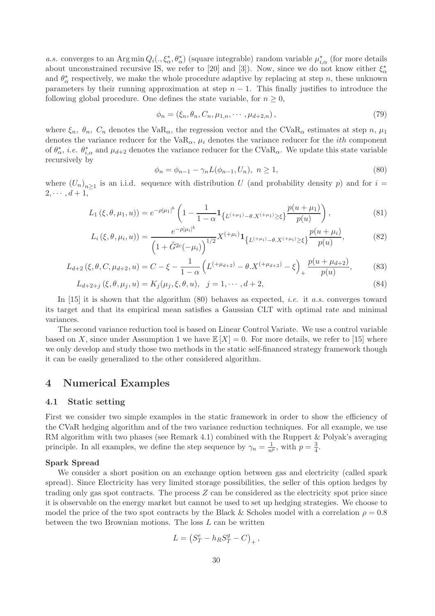a.s. converges to an Arg min  $Q_i(.,\xi^*_\alpha,\theta^*_\alpha)$  (square integrable) random variable  $\mu^*_{i,\alpha}$  (for more details about unconstrained recursive IS, we refer to [20] and [3]). Now, since we do not know either  $\xi_{\alpha}^*$ and  $\theta_{\alpha}^{*}$  respectively, we make the whole procedure adaptive by replacing at step n, these unknown parameters by their running approximation at step  $n - 1$ . This finally justifies to introduce the following global procedure. One defines the state variable, for  $n \geq 0$ ,

$$
\phi_n = (\xi_n, \theta_n, C_n, \mu_{1,n}, \cdots, \mu_{d+2,n}), \qquad (79)
$$

where  $\xi_n$ ,  $\theta_n$ ,  $C_n$  denotes the VaR<sub>α</sub>, the regression vector and the CVaR<sub>α</sub> estimates at step n,  $\mu_1$ denotes the variance reducer for the VaR<sub>α</sub>,  $\mu_i$  denotes the variance reducer for the *ith* component of  $\theta_{\alpha}^*$ , *i.e.*  $\theta_{i,\alpha}^*$  and  $\mu_{d+2}$  denotes the variance reducer for the CVaR<sub>α</sub>. We update this state variable recursively by

$$
\phi_n = \phi_{n-1} - \gamma_n L(\phi_{n-1}, U_n), \ n \ge 1,\tag{80}
$$

where  $(U_n)_{n\geq 1}$  is an i.i.d. sequence with distribution U (and probability density p) and for  $i =$  $2, \cdots, d+1,$ 

$$
L_1(\xi, \theta, \mu_1, u)) = e^{-\rho |\mu_1|^b} \left( 1 - \frac{1}{1 - \alpha} \mathbf{1}_{\{L^{(+\mu_1)} - \theta, X^{(+\mu_1)} \ge \xi\}} \frac{p(u + \mu_1)}{p(u)} \right),\tag{81}
$$

$$
L_i(\xi, \theta, \mu_i, u) = \frac{e^{-\rho|\mu_i|^b}}{\left(1 + \tilde{G}^{2c}(-\mu_i)\right)^{1/2}} X^{(+\mu_i)} \mathbf{1}_{\{L^{(+\mu_i)} - \theta, X^{(+\mu_i)} \ge \xi\}} \frac{p(u + \mu_i)}{p(u)},
$$
(82)

$$
L_{d+2}(\xi, \theta, C, \mu_{d+2}, u) = C - \xi - \frac{1}{1 - \alpha} \left( L^{(+\mu_{d+2})} - \theta \cdot X^{(+\mu_{d+2})} - \xi \right)_{+} \frac{p(u + \mu_{d+2})}{p(u)},\tag{83}
$$

$$
L_{d+2+j}(\xi, \theta, \mu_j, u) = K_j(\mu_j, \xi, \theta, u), \quad j = 1, \cdots, d+2,
$$
\n(84)

In  $[15]$  it is shown that the algorithm  $(80)$  behaves as expected, *i.e.* it *a.s.* converges toward its target and that its empirical mean satisfies a Gaussian CLT with optimal rate and minimal variances.

The second variance reduction tool is based on Linear Control Variate. We use a control variable based on X, since under Assumption 1 we have  $\mathbb{E}[X] = 0$ . For more details, we refer to [15] where we only develop and study those two methods in the static self-financed strategy framework though it can be easily generalized to the other considered algorithm.

### 4 Numerical Examples

#### 4.1 Static setting

First we consider two simple examples in the static framework in order to show the efficiency of the CVaR hedging algorithm and of the two variance reduction techniques. For all example, we use RM algorithm with two phases (see Remark 4.1) combined with the Ruppert & Polyak's averaging principle. In all examples, we define the step sequence by  $\gamma_n = \frac{1}{n^p}$ , with  $p = \frac{3}{4}$  $\frac{3}{4}$ .

#### Spark Spread

We consider a short position on an exchange option between gas and electricity (called spark spread). Since Electricity has very limited storage possibilities, the seller of this option hedges by trading only gas spot contracts. The process  $Z$  can be considered as the electricity spot price since it is observable on the energy market but cannot be used to set up hedging strategies. We choose to model the price of the two spot contracts by the Black & Scholes model with a correlation  $\rho = 0.8$ between the two Brownian motions. The loss  $L$  can be written

$$
L = \left(S_T^e - h_R S_T^g - C\right)_+
$$

,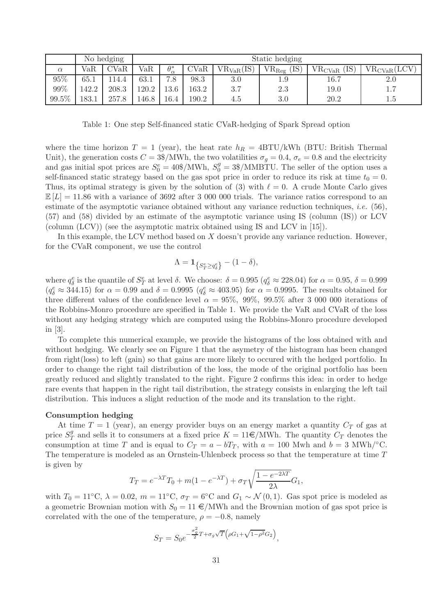|          | No hedging |                | Static hedging |                   |       |                |                   |                    |                  |
|----------|------------|----------------|----------------|-------------------|-------|----------------|-------------------|--------------------|------------------|
| $\alpha$ | VaR        | $_{\rm{CVaR}}$ | VaR            | $\theta^*_\alpha$ | CVaR  | $VR_{VaR}(IS)$ | ΊS)<br>$VR_{Reg}$ | (IS<br>$VR_{CVaR}$ | $VR_{CVaR}(LCV)$ |
| 95%      | 65.1       | .14.4          | 63.1           | 7.8               | 98.3  | $3.0\,$        | $1.9\,$           | 16.7               | $2.0\,$          |
| 99%      | $-42.2$    | 208.3          | 120.2          | 13.6              | 163.2 | 3.7            | 2.3               | 19.0               | 1.7              |
| 99.5%    | .83.1      | 257.8          | .46.8          | 16.4              | 190.2 | 4.5            | 3.0               | 20.2               | 1.5              |

Table 1: One step Self-financed static CVaR-hedging of Spark Spread option

where the time horizon  $T = 1$  (year), the heat rate  $h_R = 4B T U/kWh$  (BTU: British Thermal Unit), the generation costs  $C = 3\$/MWh$ , the two volatilities  $\sigma_g = 0.4$ ,  $\sigma_e = 0.8$  and the electricity and gas initial spot prices are  $S_0^e = 40\$/MWh$ ,  $S_0^g = 3\$/MMBTU$ . The seller of the option uses a self-financed static strategy based on the gas spot price in order to reduce its risk at time  $t_0 = 0$ . Thus, its optimal strategy is given by the solution of (3) with  $\ell = 0$ . A crude Monte Carlo gives  $\mathbb{E}[L] = 11.86$  with a variance of 3692 after 3 000 000 trials. The variance ratios correspond to an estimate of the asymptotic variance obtained without any variance reduction techniques, *i.e.* (56), (57) and (58) divided by an estimate of the asymptotic variance using IS (column (IS)) or LCV (column (LCV)) (see the asymptotic matrix obtained using IS and LCV in [15]).

In this example, the LCV method based on  $X$  doesn't provide any variance reduction. However, for the CVaR component, we use the control

$$
\Lambda = \mathbf{1}_{\{S_T^e \ge q_\delta^e\}} - (1 - \delta),
$$

where  $q_{\delta}^{e}$  is the quantile of  $S_{T}^{e}$  at level  $\delta$ . We choose:  $\delta = 0.995$   $(q_{\delta}^{e} \approx 228.04)$  for  $\alpha = 0.95$ ,  $\delta = 0.999$  $(q_{\delta}^e \approx 344.15)$  for  $\alpha = 0.99$  and  $\delta = 0.9995$   $(q_{\delta}^e \approx 403.95)$  for  $\alpha = 0.9995$ . The results obtained for three different values of the confidence level  $\alpha = 95\%$ , 99%, 99.5% after 3 000 000 iterations of the Robbins-Monro procedure are specified in Table 1. We provide the VaR and CVaR of the loss without any hedging strategy which are computed using the Robbins-Monro procedure developed in [3].

To complete this numerical example, we provide the histograms of the loss obtained with and without hedging. We clearly see on Figure 1 that the asymetry of the histogram has been changed from right(loss) to left (gain) so that gains are more likely to occured with the hedged portfolio. In order to change the right tail distribution of the loss, the mode of the original portfolio has been greatly reduced and slightly translated to the right. Figure 2 confirms this idea: in order to hedge rare events that happen in the right tail distribution, the strategy consists in enlarging the left tail distribution. This induces a slight reduction of the mode and its translation to the right.

#### Consumption hedging

At time  $T = 1$  (year), an energy provider buys on an energy market a quantity  $C_T$  of gas at price  $S_7^g$  $T$  and sells it to consumers at a fixed price  $K = 11 \in / \text{MWh}$ . The quantity  $C_T$  denotes the consumption at time T and is equal to  $C_T = a - bT_T$ , with  $a = 100$  Mwh and  $b = 3$  MWh/<sup> $\circ$ </sup>C. The temperature is modeled as an Ornstein-Uhlenbeck process so that the temperature at time T is given by

$$
T_T = e^{-\lambda T} T_0 + m(1 - e^{-\lambda T}) + \sigma_T \sqrt{\frac{1 - e^{-2\lambda T}}{2\lambda}} G_1,
$$

with  $T_0 = 11°C$ ,  $\lambda = 0.02$ ,  $m = 11°C$ ,  $\sigma_T = 6°C$  and  $G_1 \sim \mathcal{N}(0, 1)$ . Gas spot price is modeled as a geometric Brownian motion with  $S_0 = 11 \in /MWh$  and the Brownian motion of gas spot price is correlated with the one of the temperature,  $\rho = -0.8$ , namely

$$
S_T = S_0 e^{-\frac{\sigma_g^2}{2}T + \sigma_g \sqrt{T} \left(\rho G_1 + \sqrt{1 - \rho^2} G_2\right)},
$$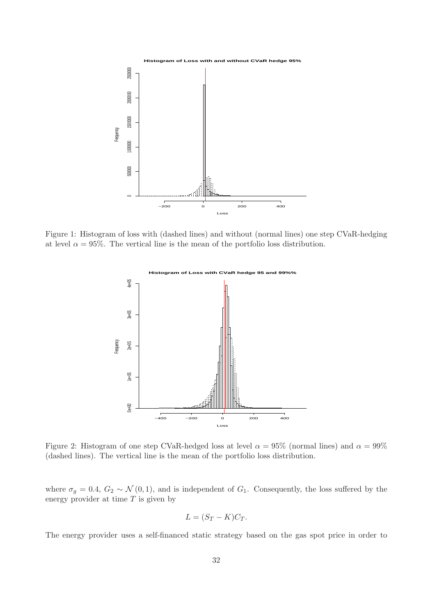

Figure 1: Histogram of loss with (dashed lines) and without (normal lines) one step CVaR-hedging at level  $\alpha = 95\%$ . The vertical line is the mean of the portfolio loss distribution.



Figure 2: Histogram of one step CVaR-hedged loss at level  $\alpha = 95\%$  (normal lines) and  $\alpha = 99\%$ (dashed lines). The vertical line is the mean of the portfolio loss distribution.

where  $\sigma_g = 0.4$ ,  $G_2 \sim \mathcal{N}(0, 1)$ , and is independent of  $G_1$ . Consequently, the loss suffered by the energy provider at time  $T$  is given by

$$
L = (S_T - K)C_T.
$$

The energy provider uses a self-financed static strategy based on the gas spot price in order to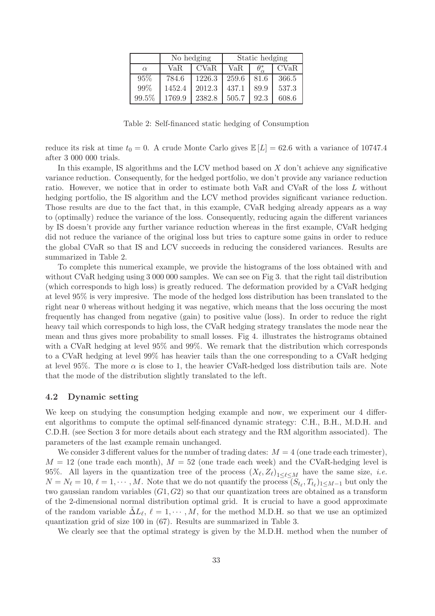|          |        | No hedging | Static hedging |      |       |  |
|----------|--------|------------|----------------|------|-------|--|
| $\alpha$ | VaR.   | CVaR       | VaR.           |      | CVaR  |  |
| 95%      | 784.6  | 1226.3     | 259.6          | 81.6 | 366.5 |  |
| 99%      | 1452.4 | 2012.3     | 437.1          | 89.9 | 537.3 |  |
| 99.5%    | 1769.9 | 2382.8     | 505.7          | 92.3 | 608.6 |  |

Table 2: Self-financed static hedging of Consumption

reduce its risk at time  $t_0 = 0$ . A crude Monte Carlo gives  $\mathbb{E}[L] = 62.6$  with a variance of 10747.4 after 3 000 000 trials.

In this example, IS algorithms and the LCV method based on X don't achieve any significative variance reduction. Consequently, for the hedged portfolio, we don't provide any variance reduction ratio. However, we notice that in order to estimate both VaR and CVaR of the loss L without hedging portfolio, the IS algorithm and the LCV method provides significant variance reduction. Those results are due to the fact that, in this example, CVaR hedging already appears as a way to (optimally) reduce the variance of the loss. Consequently, reducing again the different variances by IS doesn't provide any further variance reduction whereas in the first example, CVaR hedging did not reduce the variance of the original loss but tries to capture some gains in order to reduce the global CVaR so that IS and LCV succeeds in reducing the considered variances. Results are summarized in Table 2.

To complete this numerical example, we provide the histograms of the loss obtained with and without CVaR hedging using 3 000 000 samples. We can see on Fig 3. that the right tail distribution (which corresponds to high loss) is greatly reduced. The deformation provided by a CVaR hedging at level 95% is very impresive. The mode of the hedged loss distribution has been translated to the right near 0 whereas without hedging it was negative, which means that the loss occuring the most frequently has changed from negative (gain) to positive value (loss). In order to reduce the right heavy tail which corresponds to high loss, the CVaR hedging strategy translates the mode near the mean and thus gives more probability to small losses. Fig 4. illustrates the histrograms obtained with a CVaR hedging at level 95% and 99%. We remark that the distribution which corresponds to a CVaR hedging at level 99% has heavier tails than the one corresponding to a CVaR hedging at level 95%. The more  $\alpha$  is close to 1, the heavier CVaR-hedged loss distribution tails are. Note that the mode of the distribution slightly translated to the left.

#### 4.2 Dynamic setting

We keep on studying the consumption hedging example and now, we experiment our 4 different algorithms to compute the optimal self-financed dynamic strategy: C.H., B.H., M.D.H. and C.D.H. (see Section 3 for more details about each strategy and the RM algorithm associated). The parameters of the last example remain unchanged.

We consider 3 different values for the number of trading dates:  $M = 4$  (one trade each trimester),  $M = 12$  (one trade each month),  $M = 52$  (one trade each week) and the CVaR-hedging level is 95%. All layers in the quantization tree of the process  $(X_{\ell}, Z_{\ell})_{1 \leq \ell \leq M}$  have the same size, *i.e.*  $N = N_{\ell} = 10, \, \ell = 1, \cdots, M$ . Note that we do not quantify the process  $(S_{t_{\ell}}, T_{t_{\ell}})_{1 \leq M-1}$  but only the two gaussian random variables  $(G1, G2)$  so that our quantization trees are obtained as a transform of the 2-dimensional normal distribution optimal grid. It is crucial to have a good approximate of the random variable  $\tilde{\Delta}L_{\ell}$ ,  $\ell = 1, \cdots, M$ , for the method M.D.H. so that we use an optimized quantization grid of size 100 in (67). Results are summarized in Table 3.

We clearly see that the optimal strategy is given by the M.D.H. method when the number of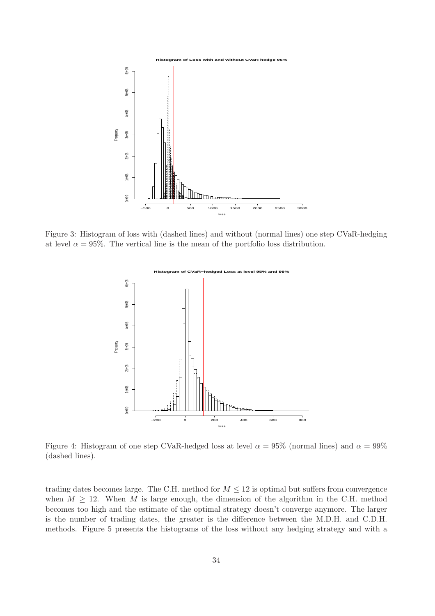

Figure 3: Histogram of loss with (dashed lines) and without (normal lines) one step CVaR-hedging at level  $\alpha = 95\%$ . The vertical line is the mean of the portfolio loss distribution.



Figure 4: Histogram of one step CVaR-hedged loss at level  $\alpha = 95\%$  (normal lines) and  $\alpha = 99\%$ (dashed lines).

trading dates becomes large. The C.H. method for  $M \leq 12$  is optimal but suffers from convergence when  $M \geq 12$ . When M is large enough, the dimension of the algorithm in the C.H. method becomes too high and the estimate of the optimal strategy doesn't converge anymore. The larger is the number of trading dates, the greater is the difference between the M.D.H. and C.D.H. methods. Figure 5 presents the histograms of the loss without any hedging strategy and with a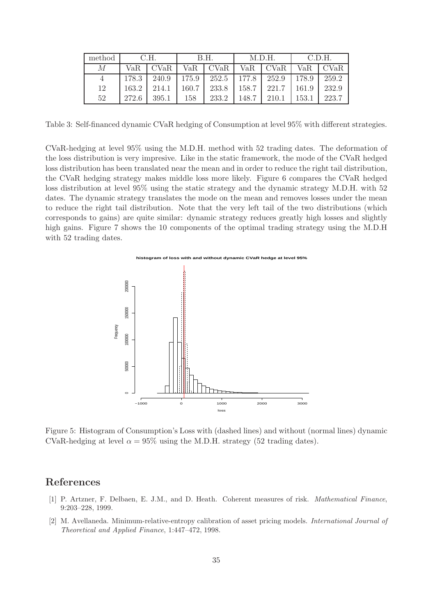| method | C.H.  |             | B.H.  |             | M.D.H. |       | C.D.H. |             |
|--------|-------|-------------|-------|-------------|--------|-------|--------|-------------|
| М      | VaR.  | <b>CVaR</b> | VaR   | <b>CVaR</b> | VaR    | CVaR  | VaR    | <b>CVaR</b> |
|        | 178.3 | 240.9       | 175.9 | 252.5       | 177.8  | 252.9 | 178.9  | 259.2       |
| 12     | 163.2 | 214.1       | 160.7 | 233.8       | 158.7  | 221.7 | 161.9  | 232.9       |
| 52     | 272.6 | 395.1       | 158   | 233.2       | 148.7  | 210.1 | 153.1  | 223.7       |

Table 3: Self-financed dynamic CVaR hedging of Consumption at level 95% with different strategies.

CVaR-hedging at level 95% using the M.D.H. method with 52 trading dates. The deformation of the loss distribution is very impresive. Like in the static framework, the mode of the CVaR hedged loss distribution has been translated near the mean and in order to reduce the right tail distribution, the CVaR hedging strategy makes middle loss more likely. Figure 6 compares the CVaR hedged loss distribution at level 95% using the static strategy and the dynamic strategy M.D.H. with 52 dates. The dynamic strategy translates the mode on the mean and removes losses under the mean to reduce the right tail distribution. Note that the very left tail of the two distributions (which corresponds to gains) are quite similar: dynamic strategy reduces greatly high losses and slightly high gains. Figure 7 shows the 10 components of the optimal trading strategy using the M.D.H with 52 trading dates.



Figure 5: Histogram of Consumption's Loss with (dashed lines) and without (normal lines) dynamic CVaR-hedging at level  $\alpha = 95\%$  using the M.D.H. strategy (52 trading dates).

### References

- [1] P. Artzner, F. Delbaen, E. J.M., and D. Heath. Coherent measures of risk. Mathematical Finance, 9:203–228, 1999.
- [2] M. Avellaneda. Minimum-relative-entropy calibration of asset pricing models. International Journal of Theoretical and Applied Finance, 1:447–472, 1998.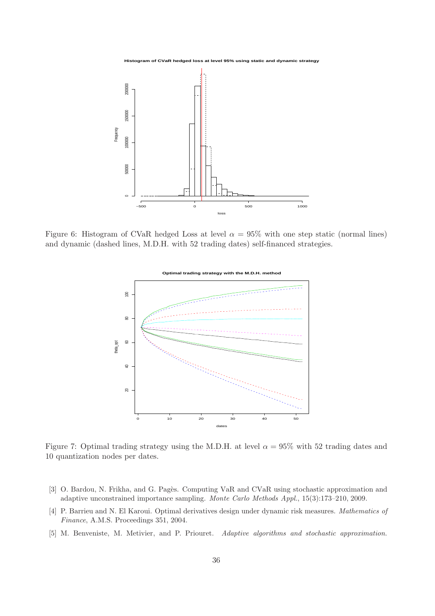

Figure 6: Histogram of CVaR hedged Loss at level  $\alpha = 95\%$  with one step static (normal lines) and dynamic (dashed lines, M.D.H. with 52 trading dates) self-financed strategies.



Figure 7: Optimal trading strategy using the M.D.H. at level  $\alpha = 95\%$  with 52 trading dates and 10 quantization nodes per dates.

- [3] O. Bardou, N. Frikha, and G. Pagès. Computing VaR and CVaR using stochastic approximation and adaptive unconstrained importance sampling. Monte Carlo Methods Appl., 15(3):173–210, 2009.
- [4] P. Barrieu and N. El Karoui. Optimal derivatives design under dynamic risk measures. Mathematics of Finance, A.M.S. Proceedings 351, 2004.
- [5] M. Benveniste, M. Metivier, and P. Priouret. Adaptive algorithms and stochastic approximation.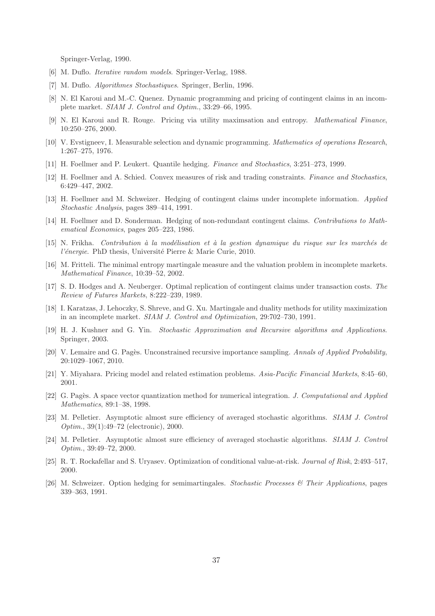Springer-Verlag, 1990.

- [6] M. Duflo. Iterative random models. Springer-Verlag, 1988.
- [7] M. Duflo. Algorithmes Stochastiques. Springer, Berlin, 1996.
- [8] N. El Karoui and M.-C. Quenez. Dynamic programming and pricing of contingent claims in an incomplete market. SIAM J. Control and Optim., 33:29–66, 1995.
- [9] N. El Karoui and R. Rouge. Pricing via utility maximsation and entropy. Mathematical Finance, 10:250–276, 2000.
- [10] V. Evstigneev, I. Measurable selection and dynamic programming. Mathematics of operations Research, 1:267–275, 1976.
- [11] H. Foellmer and P. Leukert. Quantile hedging. Finance and Stochastics, 3:251–273, 1999.
- [12] H. Foellmer and A. Schied. Convex measures of risk and trading constraints. Finance and Stochastics, 6:429–447, 2002.
- [13] H. Foellmer and M. Schweizer. Hedging of contingent claims under incomplete information. Applied Stochastic Analysis, pages 389–414, 1991.
- [14] H. Foellmer and D. Sonderman. Hedging of non-redundant contingent claims. Contributions to Mathematical Economics, pages 205–223, 1986.
- [15] N. Frikha. Contribution à la modélisation et à la gestion dynamique du risque sur les marchés de l'énergie. PhD thesis, Université Pierre & Marie Curie, 2010.
- [16] M. Fritteli. The minimal entropy martingale measure and the valuation problem in incomplete markets. Mathematical Finance, 10:39–52, 2002.
- [17] S. D. Hodges and A. Neuberger. Optimal replication of contingent claims under transaction costs. The Review of Futures Markets, 8:222–239, 1989.
- [18] I. Karatzas, J. Lehoczky, S. Shreve, and G. Xu. Martingale and duality methods for utility maximization in an incomplete market. SIAM J. Control and Optimization, 29:702–730, 1991.
- [19] H. J. Kushner and G. Yin. Stochastic Approximation and Recursive algorithms and Applications. Springer, 2003.
- [20] V. Lemaire and G. Pagès. Unconstrained recursive importance sampling. Annals of Applied Probability, 20:1029–1067, 2010.
- [21] Y. Miyahara. Pricing model and related estimation problems. Asia-Pacific Financial Markets, 8:45–60, 2001.
- [22] G. Pagès. A space vector quantization method for numerical integration. J. Computational and Applied Mathematics, 89:1–38, 1998.
- [23] M. Pelletier. Asymptotic almost sure efficiency of averaged stochastic algorithms. SIAM J. Control Optim., 39(1):49–72 (electronic), 2000.
- [24] M. Pelletier. Asymptotic almost sure efficiency of averaged stochastic algorithms. SIAM J. Control Optim., 39:49–72, 2000.
- [25] R. T. Rockafellar and S. Uryasev. Optimization of conditional value-at-risk. Journal of Risk, 2:493–517, 2000.
- [26] M. Schweizer. Option hedging for semimartingales. Stochastic Processes & Their Applications, pages 339–363, 1991.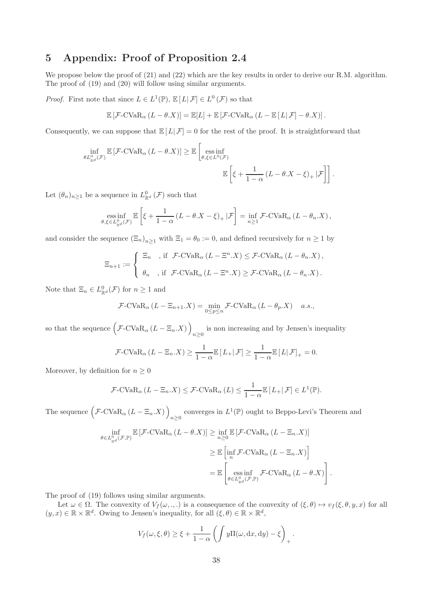# 5 Appendix: Proof of Proposition 2.4

We propose below the proof of  $(21)$  and  $(22)$  which are the key results in order to derive our R.M. algorithm. The proof of (19) and (20) will follow using similar arguments.

*Proof.* First note that since  $L \in L^1(\mathbb{P})$ ,  $\mathbb{E}[L|\mathcal{F}] \in L^0(\mathcal{F})$  so that

$$
\mathbb{E}\left[\mathcal{F}\text{-CVaR}_{\alpha}\left(L-\theta.X\right)\right]=\mathbb{E}[L]+\mathbb{E}\left[\mathcal{F}\text{-CVaR}_{\alpha}\left(L-\mathbb{E}\left[L\right|\mathcal{F}\right]-\theta.X\right)\right].
$$

Consequently, we can suppose that  $\mathbb{E}[L|\mathcal{F}] = 0$  for the rest of the proof. It is straightforward that

$$
\inf_{\theta L_{\mathbb{R}^d}^0(\mathcal{F})} \mathbb{E}\left[\mathcal{F}\text{-CVaR}_{\alpha}(L-\theta,X)\right] \geq \mathbb{E}\left[\underset{\theta,\xi\in L^0(\mathcal{F})}{\text{ess inf}}\mathbb{E}\left[\xi + \frac{1}{1-\alpha}\left(L-\theta,X-\xi\right)_+|\mathcal{F}\right]\right].
$$

Let  $(\theta_n)_{n\geq 1}$  be a sequence in  $L^0_{\mathbb{R}^d}(\mathcal{F})$  such that

ess inf 
$$
\underset{\theta,\xi\in L_{\mathbb{R}^d}^0(\mathcal{F})}{\mathbb{E}}\left[\xi+\frac{1}{1-\alpha}(L-\theta.X-\xi)_+|\mathcal{F}\right]=\inf_{n\geq 1}\mathcal{F}\text{-CVaR}_{\alpha}(L-\theta_n.X),
$$

and consider the sequence  $(\Xi_n)_{n>1}$  with  $\Xi_1 = \theta_0 := 0$ , and defined recursively for  $n \geq 1$  by

$$
\Xi_{n+1}:=\left\{\begin{array}{ll} \Xi_n & \text{, if }\;\mathcal{F}\text{-CVaR}_\alpha\left(L-\Xi^n.X\right)\leq \mathcal{F}\text{-CVaR}_\alpha\left(L-\theta_n.X\right),\\[1ex] \theta_n & \text{, if }\;\mathcal{F}\text{-CVaR}_\alpha\left(L-\Xi^n.X\right)\geq \mathcal{F}\text{-CVaR}_\alpha\left(L-\theta_n.X\right). \end{array}\right.
$$

Note that  $\Xi_n \in L^0_{\mathbb{R}^d}(\mathcal{F})$  for  $n \geq 1$  and

$$
\mathcal{F}\text{-CVaR}_{\alpha}\left(L-\Xi_{n+1}.X\right)=\min_{0\leq p\leq n}\mathcal{F}\text{-CVaR}_{\alpha}\left(L-\theta_{p}.X\right)\quad a.s.,
$$

so that the sequence  $(\mathcal{F}\text{-CVaR}_{\alpha}(L-\Xi_n.X))$ is non increasing and by Jensen's inequality  $n\geq 0$ 

$$
\mathcal{F}\text{-CVaR}_{\alpha}\left(L-\Xi_{n}.X\right) \geq \frac{1}{1-\alpha}\mathbb{E}\left[L_{+}|\mathcal{F}\right] \geq \frac{1}{1-\alpha}\mathbb{E}\left[L|\mathcal{F}\right]_{+} = 0.
$$

Moreover, by definition for  $n \geq 0$ 

$$
\mathcal{F}\text{-CVaR}_{\alpha}\left(L-\Xi_{n}.X\right)\leq \mathcal{F}\text{-CVaR}_{\alpha}\left(L\right)\leq \frac{1}{1-\alpha}\mathbb{E}\left[L_{+}|\mathcal{F}\right]\in L^{1}(\mathbb{P}).
$$

The sequence  $(\mathcal{F}\text{-CVaR}_{\alpha} (L - \Xi_n.X))$ converges in  $L^1(\mathbb{P})$  ought to Beppo-Levi's Theorem and

$$
\inf_{\theta \in L_{\mathbb{R}^d}^0(\mathcal{F}, \mathbb{P})} \mathbb{E}\left[\mathcal{F}\text{-CVaR}_{\alpha}\left(L-\theta \cdot X\right)\right] \geq \inf_{n \geq 0} \mathbb{E}\left[\mathcal{F}\text{-CVaR}_{\alpha}\left(L-\Xi_n \cdot X\right)\right]
$$
\n
$$
\geq \mathbb{E}\left[\inf_{n} \mathcal{F}\text{-CVaR}_{\alpha}\left(L-\Xi_n \cdot X\right)\right]
$$
\n
$$
= \mathbb{E}\left[\underset{\theta \in L_{\mathbb{R}^d}^0(\mathcal{F}, \mathbb{P})}{\text{ess inf}} \mathcal{F}\text{-CVaR}_{\alpha}\left(L-\theta \cdot X\right)\right]
$$

.

.

The proof of (19) follows using similar arguments.

Let  $\omega \in \Omega$ . The convexity of  $V_f(\omega, \ldots)$  is a consequence of the convexity of  $(\xi, \theta) \mapsto v_f(\xi, \theta, y, x)$  for all  $(y, x) \in \mathbb{R} \times \mathbb{R}^d$ . Owing to Jensen's inequality, for all  $(\xi, \theta) \in \mathbb{R} \times \mathbb{R}^d$ ,

$$
V_f(\omega, \xi, \theta) \ge \xi + \frac{1}{1 - \alpha} \left( \int y \Pi(\omega, dx, dy) - \xi \right)_+
$$